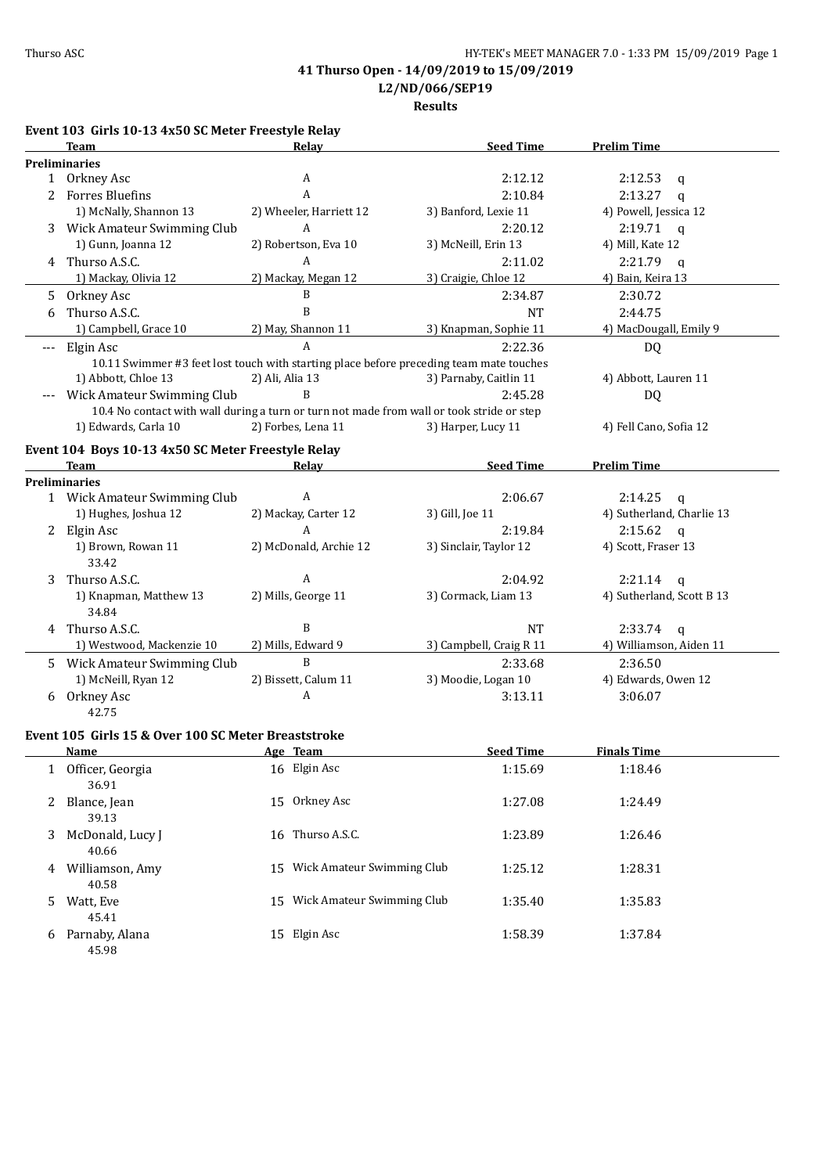**L2/ND/066/SEP19**

**Results**

|          | Event 103 Girls 10-13 4x50 SC Meter Freestyle Relay                                       |                                 |                                                                                         |                           |
|----------|-------------------------------------------------------------------------------------------|---------------------------------|-----------------------------------------------------------------------------------------|---------------------------|
|          | Team                                                                                      | Relav                           | <b>Seed Time</b>                                                                        | <b>Prelim Time</b>        |
|          | <b>Preliminaries</b>                                                                      |                                 |                                                                                         |                           |
|          | 1 Orkney Asc                                                                              | A                               | 2:12.12                                                                                 | 2:12.53<br>$\mathsf{q}$   |
| 2        | <b>Forres Bluefins</b>                                                                    | A                               | 2:10.84                                                                                 | 2:13.27<br>$\mathsf{q}$   |
|          | 1) McNally, Shannon 13                                                                    | 2) Wheeler, Harriett 12         | 3) Banford, Lexie 11                                                                    | 4) Powell, Jessica 12     |
|          | 3 Wick Amateur Swimming Club                                                              | A                               | 2:20.12                                                                                 | 2:19.71<br>$\mathbf{q}$   |
|          | 1) Gunn, Joanna 12                                                                        | 2) Robertson, Eva 10            | 3) McNeill, Erin 13                                                                     | 4) Mill, Kate 12          |
|          | 4 Thurso A.S.C.                                                                           | A                               | 2:11.02                                                                                 | 2:21.79<br>$\mathbf{q}$   |
|          | 1) Mackay, Olivia 12                                                                      | 2) Mackay, Megan 12             | 3) Craigie, Chloe 12                                                                    | 4) Bain, Keira 13         |
| 5        | Orkney Asc                                                                                | B                               | 2:34.87                                                                                 | 2:30.72                   |
| 6        | Thurso A.S.C.                                                                             | B                               | <b>NT</b>                                                                               | 2:44.75                   |
|          | 1) Campbell, Grace 10                                                                     | 2) May, Shannon 11              | 3) Knapman, Sophie 11                                                                   | 4) MacDougall, Emily 9    |
| $\cdots$ | Elgin Asc                                                                                 | A                               | 2:22.36                                                                                 | <b>DQ</b>                 |
|          |                                                                                           |                                 | 10.11 Swimmer #3 feet lost touch with starting place before preceding team mate touches |                           |
|          | 1) Abbott, Chloe 13                                                                       | 2) Ali, Alia 13                 | 3) Parnaby, Caitlin 11                                                                  | 4) Abbott, Lauren 11      |
|          | Wick Amateur Swimming Club                                                                | B                               | 2:45.28                                                                                 | DQ                        |
|          | 10.4 No contact with wall during a turn or turn not made from wall or took stride or step |                                 |                                                                                         |                           |
|          | 1) Edwards, Carla 10                                                                      | 2) Forbes, Lena 11              | 3) Harper, Lucy 11                                                                      | 4) Fell Cano, Sofia 12    |
|          | Event 104 Boys 10-13 4x50 SC Meter Freestyle Relay                                        |                                 |                                                                                         |                           |
|          | <b>Team</b>                                                                               | <b>Relay</b>                    | <b>Seed Time</b>                                                                        | <b>Prelim Time</b>        |
|          | <b>Preliminaries</b>                                                                      |                                 |                                                                                         |                           |
|          | 1 Wick Amateur Swimming Club                                                              | A                               | 2:06.67                                                                                 | 2:14.25<br>$\mathsf{q}$   |
|          | 1) Hughes, Joshua 12                                                                      | 2) Mackay, Carter 12            | 3) Gill, Joe 11                                                                         | 4) Sutherland, Charlie 13 |
| 2        | Elgin Asc                                                                                 | A                               | 2:19.84                                                                                 | 2:15.62<br>$\mathbf{q}$   |
|          | 1) Brown, Rowan 11<br>33.42                                                               | 2) McDonald, Archie 12          | 3) Sinclair, Taylor 12                                                                  | 4) Scott, Fraser 13       |
| 3        | Thurso A.S.C.                                                                             | A                               | 2:04.92                                                                                 | 2:21.14<br>$\mathsf{q}$   |
|          | 1) Knapman, Matthew 13<br>34.84                                                           | 2) Mills, George 11             | 3) Cormack, Liam 13                                                                     | 4) Sutherland, Scott B 13 |
|          | 4 Thurso A.S.C.                                                                           | B                               | <b>NT</b>                                                                               | 2:33.74<br>$\mathbf{q}$   |
|          | 1) Westwood, Mackenzie 10                                                                 | 2) Mills, Edward 9              | 3) Campbell, Craig R 11                                                                 | 4) Williamson, Aiden 11   |
|          | 5 Wick Amateur Swimming Club                                                              | B                               | 2:33.68                                                                                 | 2:36.50                   |
|          | 1) McNeill, Ryan 12                                                                       | 2) Bissett, Calum 11            | 3) Moodie, Logan 10                                                                     | 4) Edwards, Owen 12       |
|          | 6 Orkney Asc<br>42.75                                                                     | A                               | 3:13.11                                                                                 | 3:06.07                   |
|          | Event 105 Girls 15 & Over 100 SC Meter Breaststroke                                       |                                 |                                                                                         |                           |
|          | <u>Name</u><br>1 Officer, Georgia                                                         | <u>Age Team</u><br>16 Elgin Asc | <u>Seed Time</u><br>1:15.69                                                             | <u>Finals Time</u>        |
|          | 36.91                                                                                     |                                 |                                                                                         | 1:18.46                   |
| 2        | Blance, Jean<br>39.13                                                                     | 15 Orkney Asc                   | 1:27.08                                                                                 | 1:24.49                   |
| 3        | McDonald, Lucy J<br>40.66                                                                 | 16 Thurso A.S.C.                | 1:23.89                                                                                 | 1:26.46                   |
|          | 4 Williamson, Amy<br>40.58                                                                | 15 Wick Amateur Swimming Club   | 1:25.12                                                                                 | 1:28.31                   |
| 5        | Watt, Eve<br>45.41                                                                        | 15 Wick Amateur Swimming Club   | 1:35.40                                                                                 | 1:35.83                   |
|          | 6 Parnaby, Alana<br>45.98                                                                 | 15 Elgin Asc                    | 1:58.39                                                                                 | 1:37.84                   |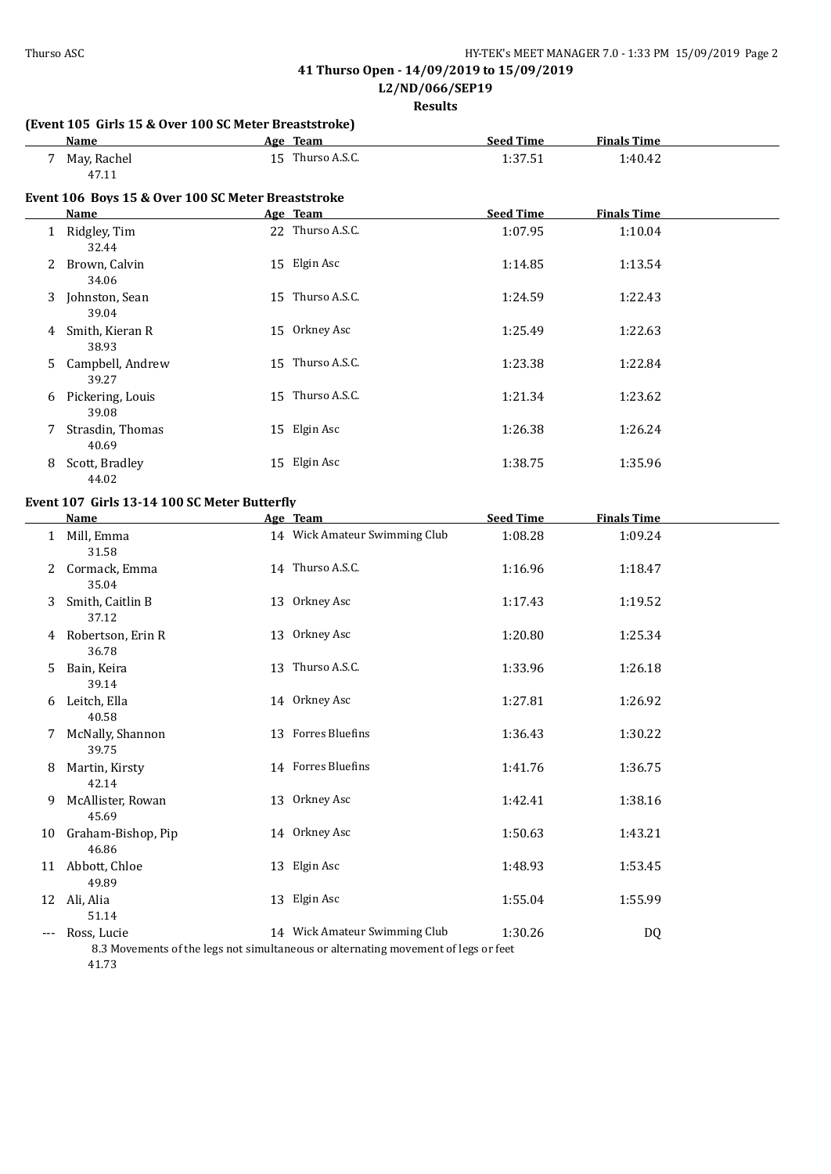**L2/ND/066/SEP19**

**Results**

## **(Event 105 Girls 15 & Over 100 SC Meter Breaststroke)**

| Name        | Team<br>Age      | <b>Seed Time</b> | <b>Finals Time</b> |  |
|-------------|------------------|------------------|--------------------|--|
| May, Rachel | 15 Thurso A.S.C. | 1:37.51          | 1:40.42            |  |
| 47.11       |                  |                  |                    |  |

### **Event 106 Boys 15 & Over 100 SC Meter Breaststroke**

|   | <b>Name</b>               | Age Team         | <b>Seed Time</b> | <b>Finals Time</b> |  |
|---|---------------------------|------------------|------------------|--------------------|--|
|   | Ridgley, Tim<br>32.44     | 22 Thurso A.S.C. | 1:07.95          | 1:10.04            |  |
| 2 | Brown, Calvin<br>34.06    | 15 Elgin Asc     | 1:14.85          | 1:13.54            |  |
| 3 | Johnston, Sean<br>39.04   | 15 Thurso A.S.C. | 1:24.59          | 1:22.43            |  |
| 4 | Smith, Kieran R<br>38.93  | 15 Orkney Asc    | 1:25.49          | 1:22.63            |  |
| 5 | Campbell, Andrew<br>39.27 | 15 Thurso A.S.C. | 1:23.38          | 1:22.84            |  |
| 6 | Pickering, Louis<br>39.08 | 15 Thurso A.S.C. | 1:21.34          | 1:23.62            |  |
|   | Strasdin, Thomas<br>40.69 | 15 Elgin Asc     | 1:26.38          | 1:26.24            |  |
| 8 | Scott, Bradley<br>44.02   | 15 Elgin Asc     | 1:38.75          | 1:35.96            |  |

## **Event 107 Girls 13-14 100 SC Meter Butterfly**

|       | <b>Name</b>                 | Age Team                                                                                                            | <b>Seed Time</b> | <b>Finals Time</b> |  |
|-------|-----------------------------|---------------------------------------------------------------------------------------------------------------------|------------------|--------------------|--|
|       | Mill, Emma<br>31.58         | 14 Wick Amateur Swimming Club                                                                                       | 1:08.28          | 1:09.24            |  |
| 2     | Cormack, Emma<br>35.04      | 14 Thurso A.S.C.                                                                                                    | 1:16.96          | 1:18.47            |  |
| 3     | Smith, Caitlin B<br>37.12   | 13 Orkney Asc                                                                                                       | 1:17.43          | 1:19.52            |  |
| 4     | Robertson, Erin R<br>36.78  | 13 Orkney Asc                                                                                                       | 1:20.80          | 1:25.34            |  |
| 5.    | Bain, Keira<br>39.14        | 13 Thurso A.S.C.                                                                                                    | 1:33.96          | 1:26.18            |  |
| 6     | Leitch, Ella<br>40.58       | 14 Orkney Asc                                                                                                       | 1:27.81          | 1:26.92            |  |
| 7     | McNally, Shannon<br>39.75   | 13 Forres Bluefins                                                                                                  | 1:36.43          | 1:30.22            |  |
| 8     | Martin, Kirsty<br>42.14     | 14 Forres Bluefins                                                                                                  | 1:41.76          | 1:36.75            |  |
| 9     | McAllister, Rowan<br>45.69  | 13 Orkney Asc                                                                                                       | 1:42.41          | 1:38.16            |  |
| 10    | Graham-Bishop, Pip<br>46.86 | 14 Orkney Asc                                                                                                       | 1:50.63          | 1:43.21            |  |
| 11    | Abbott, Chloe<br>49.89      | 13 Elgin Asc                                                                                                        | 1:48.93          | 1:53.45            |  |
| 12    | Ali, Alia<br>51.14          | 13 Elgin Asc                                                                                                        | 1:55.04          | 1:55.99            |  |
| $---$ | Ross, Lucie                 | 14 Wick Amateur Swimming Club<br>8.3 Movements of the legs not simultaneous or alternating movement of legs or feet | 1:30.26          | DQ                 |  |

41.73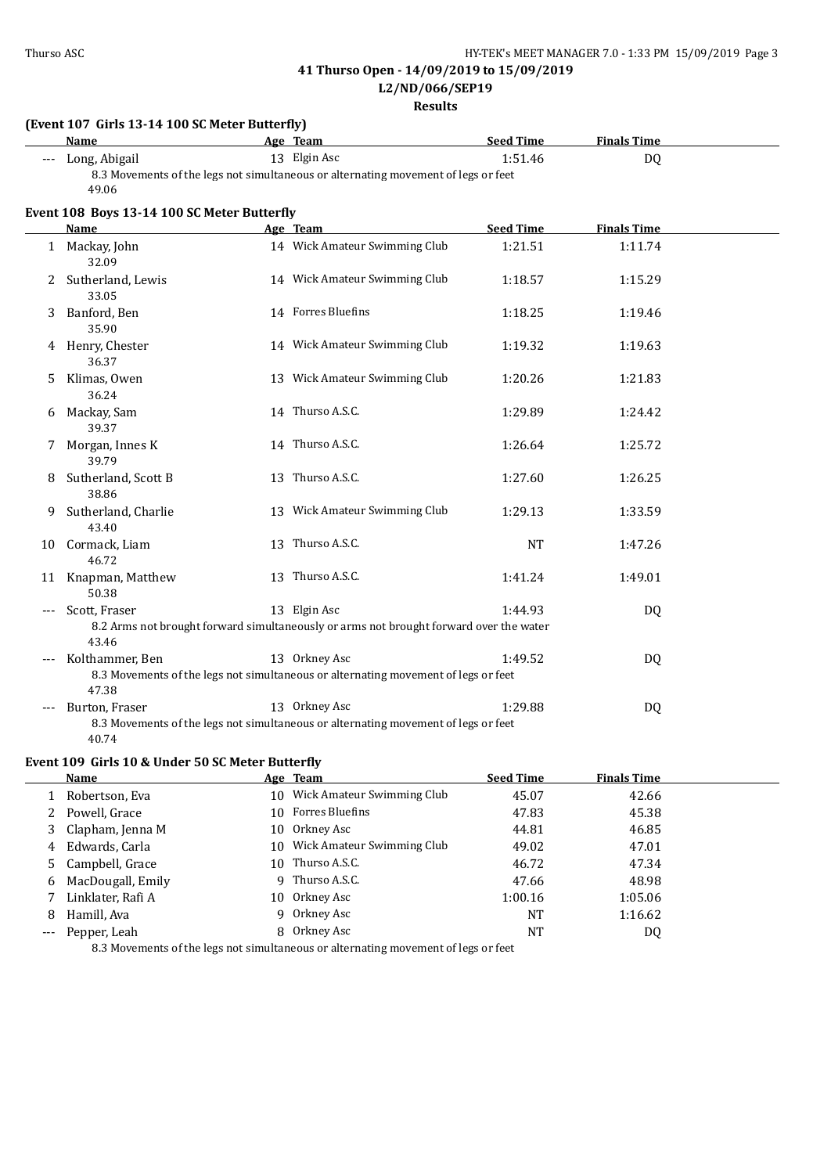**L2/ND/066/SEP19**

**Results**

|       | (Event 107 Girls 13-14 100 SC Meter Butterfly)<br><b>Name</b>   |    | Age Team                                                                                            | <b>Seed Time</b> | <b>Finals Time</b> |  |
|-------|-----------------------------------------------------------------|----|-----------------------------------------------------------------------------------------------------|------------------|--------------------|--|
| $---$ | Long, Abigail                                                   |    | 13 Elgin Asc                                                                                        | 1:51.46          | <b>DQ</b>          |  |
|       | 49.06                                                           |    | 8.3 Movements of the legs not simultaneous or alternating movement of legs or feet                  |                  |                    |  |
|       | Event 108 Boys 13-14 100 SC Meter Butterfly                     |    |                                                                                                     |                  |                    |  |
|       | Name                                                            |    | Age Team                                                                                            | <b>Seed Time</b> | <b>Finals Time</b> |  |
|       | 1 Mackay, John<br>32.09                                         |    | 14 Wick Amateur Swimming Club                                                                       | 1:21.51          | 1:11.74            |  |
| 2     | Sutherland, Lewis<br>33.05                                      |    | 14 Wick Amateur Swimming Club                                                                       | 1:18.57          | 1:15.29            |  |
| 3     | Banford, Ben<br>35.90                                           |    | 14 Forres Bluefins                                                                                  | 1:18.25          | 1:19.46            |  |
|       | 4 Henry, Chester<br>36.37                                       |    | 14 Wick Amateur Swimming Club                                                                       | 1:19.32          | 1:19.63            |  |
| 5.    | Klimas, Owen<br>36.24                                           |    | 13 Wick Amateur Swimming Club                                                                       | 1:20.26          | 1:21.83            |  |
|       | 6 Mackay, Sam<br>39.37                                          |    | 14 Thurso A.S.C.                                                                                    | 1:29.89          | 1:24.42            |  |
| 7     | Morgan, Innes K<br>39.79                                        |    | 14 Thurso A.S.C.                                                                                    | 1:26.64          | 1:25.72            |  |
| 8     | Sutherland, Scott B<br>38.86                                    |    | 13 Thurso A.S.C.                                                                                    | 1:27.60          | 1:26.25            |  |
| 9     | Sutherland, Charlie<br>43.40                                    |    | 13 Wick Amateur Swimming Club                                                                       | 1:29.13          | 1:33.59            |  |
| 10    | Cormack, Liam<br>46.72                                          |    | 13 Thurso A.S.C.                                                                                    | <b>NT</b>        | 1:47.26            |  |
| 11    | Knapman, Matthew<br>50.38                                       |    | 13 Thurso A.S.C.                                                                                    | 1:41.24          | 1:49.01            |  |
|       | Scott, Fraser                                                   |    | 13 Elgin Asc                                                                                        | 1:44.93          | DQ                 |  |
|       | 43.46                                                           |    | 8.2 Arms not brought forward simultaneously or arms not brought forward over the water              |                  |                    |  |
|       | Kolthammer, Ben                                                 |    | 13 Orkney Asc                                                                                       | 1:49.52          | DQ                 |  |
|       | 47.38                                                           |    | 8.3 Movements of the legs not simultaneous or alternating movement of legs or feet                  |                  |                    |  |
|       | Burton, Fraser<br>40.74                                         |    | 13 Orkney Asc<br>8.3 Movements of the legs not simultaneous or alternating movement of legs or feet | 1:29.88          | DQ                 |  |
|       |                                                                 |    |                                                                                                     |                  |                    |  |
|       | Event 109 Girls 10 & Under 50 SC Meter Butterfly<br><b>Name</b> |    | Age Team                                                                                            | <b>Seed Time</b> | <b>Finals Time</b> |  |
| 1     | Robertson, Eva                                                  |    | 10 Wick Amateur Swimming Club                                                                       | 45.07            | 42.66              |  |
| 2     | Powell, Grace                                                   |    | 10 Forres Bluefins                                                                                  | 47.83            | 45.38              |  |
| 3     | Clapham, Jenna M                                                |    | 10 Orkney Asc                                                                                       | 44.81            | 46.85              |  |
| 4     | Edwards, Carla                                                  |    | 10 Wick Amateur Swimming Club                                                                       | 49.02            | 47.01              |  |
| 5     | Campbell, Grace                                                 |    | 10 Thurso A.S.C.                                                                                    | 46.72            | 47.34              |  |
| 6     | MacDougall, Emily                                               |    | 9 Thurso A.S.C.                                                                                     | 47.66            | 48.98              |  |
| 7     | Linklater, Rafi A                                               | 10 | Orkney Asc                                                                                          | 1:00.16          | 1:05.06            |  |

8 Hamill, Ava 9 Orkney Asc 1:16.62 -- Pepper, Leah 8 Orkney Asc NT NT DQ

8.3 Movements of the legs not simultaneous or alternating movement of legs or feet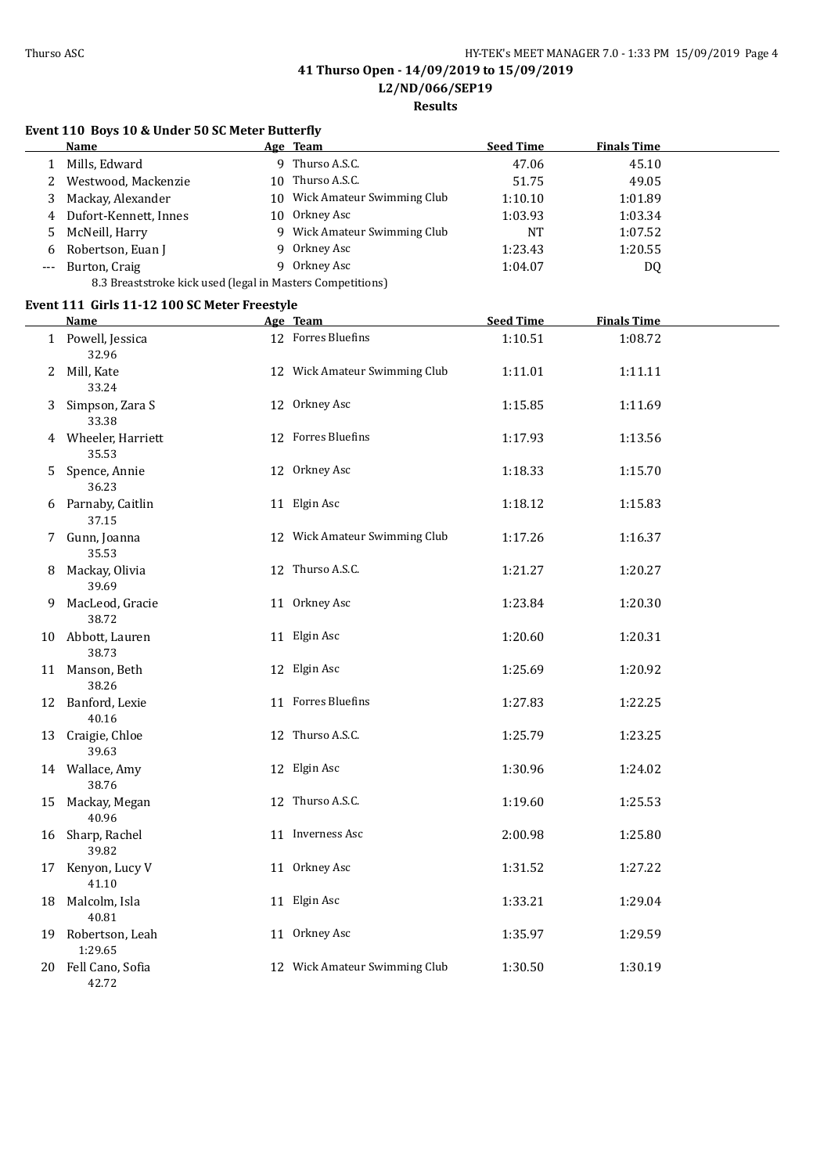**Results**

## **Event 110 Boys 10 & Under 50 SC Meter Butterfly**

|       | Name                                                       |     | <u>Age Team</u>            | <b>Seed Time</b> | <b>Finals Time</b> |  |
|-------|------------------------------------------------------------|-----|----------------------------|------------------|--------------------|--|
|       | Mills, Edward                                              | q.  | Thurso A.S.C.              | 47.06            | 45.10              |  |
|       | 2 Westwood, Mackenzie                                      | 10  | Thurso A.S.C.              | 51.75            | 49.05              |  |
| 3.    | Mackay, Alexander                                          | 10  | Wick Amateur Swimming Club | 1:10.10          | 1:01.89            |  |
|       | 4 Dufort-Kennett, Innes                                    | 10. | Orkney Asc                 | 1:03.93          | 1:03.34            |  |
|       | 5 McNeill, Harry                                           | q.  | Wick Amateur Swimming Club | NT               | 1:07.52            |  |
| 6     | Robertson, Euan J                                          |     | 9 Orkney Asc               | 1:23.43          | 1:20.55            |  |
| $---$ | Burton, Craig                                              | Q   | Orkney Asc                 | 1:04.07          | DQ                 |  |
|       | 8.3 Breaststroke kick used (legal in Masters Competitions) |     |                            |                  |                    |  |

#### **Event 111 Girls 11-12 100 SC Meter Freestyle**

|    | <b>Name</b>                   | Age Team                      | <b>Seed Time</b> | <b>Finals Time</b> |  |
|----|-------------------------------|-------------------------------|------------------|--------------------|--|
|    | 1 Powell, Jessica<br>32.96    | 12 Forres Bluefins            | 1:10.51          | 1:08.72            |  |
|    | 2 Mill, Kate<br>33.24         | 12 Wick Amateur Swimming Club | 1:11.01          | 1:11.11            |  |
|    | 3 Simpson, Zara S<br>33.38    | 12 Orkney Asc                 | 1:15.85          | 1:11.69            |  |
|    | 4 Wheeler, Harriett<br>35.53  | 12 Forres Bluefins            | 1:17.93          | 1:13.56            |  |
|    | 5 Spence, Annie<br>36.23      | 12 Orkney Asc                 | 1:18.33          | 1:15.70            |  |
|    | 6 Parnaby, Caitlin<br>37.15   | 11 Elgin Asc                  | 1:18.12          | 1:15.83            |  |
|    | 7 Gunn, Joanna<br>35.53       | 12 Wick Amateur Swimming Club | 1:17.26          | 1:16.37            |  |
|    | 8 Mackay, Olivia<br>39.69     | 12 Thurso A.S.C.              | 1:21.27          | 1:20.27            |  |
| 9  | MacLeod, Gracie<br>38.72      | 11 Orkney Asc                 | 1:23.84          | 1:20.30            |  |
|    | 10 Abbott, Lauren<br>38.73    | 11 Elgin Asc                  | 1:20.60          | 1:20.31            |  |
|    | 11 Manson, Beth<br>38.26      | 12 Elgin Asc                  | 1:25.69          | 1:20.92            |  |
|    | 12 Banford, Lexie<br>40.16    | 11 Forres Bluefins            | 1:27.83          | 1:22.25            |  |
|    | 13 Craigie, Chloe<br>39.63    | 12 Thurso A.S.C.              | 1:25.79          | 1:23.25            |  |
|    | 14 Wallace, Amy<br>38.76      | 12 Elgin Asc                  | 1:30.96          | 1:24.02            |  |
|    | 15 Mackay, Megan<br>40.96     | 12 Thurso A.S.C.              | 1:19.60          | 1:25.53            |  |
|    | 16 Sharp, Rachel<br>39.82     | 11 Inverness Asc              | 2:00.98          | 1:25.80            |  |
| 17 | Kenyon, Lucy V<br>41.10       | 11 Orkney Asc                 | 1:31.52          | 1:27.22            |  |
| 18 | Malcolm, Isla<br>40.81        | 11 Elgin Asc                  | 1:33.21          | 1:29.04            |  |
|    | 19 Robertson, Leah<br>1:29.65 | 11 Orkney Asc                 | 1:35.97          | 1:29.59            |  |
|    | 20 Fell Cano, Sofia<br>42.72  | 12 Wick Amateur Swimming Club | 1:30.50          | 1:30.19            |  |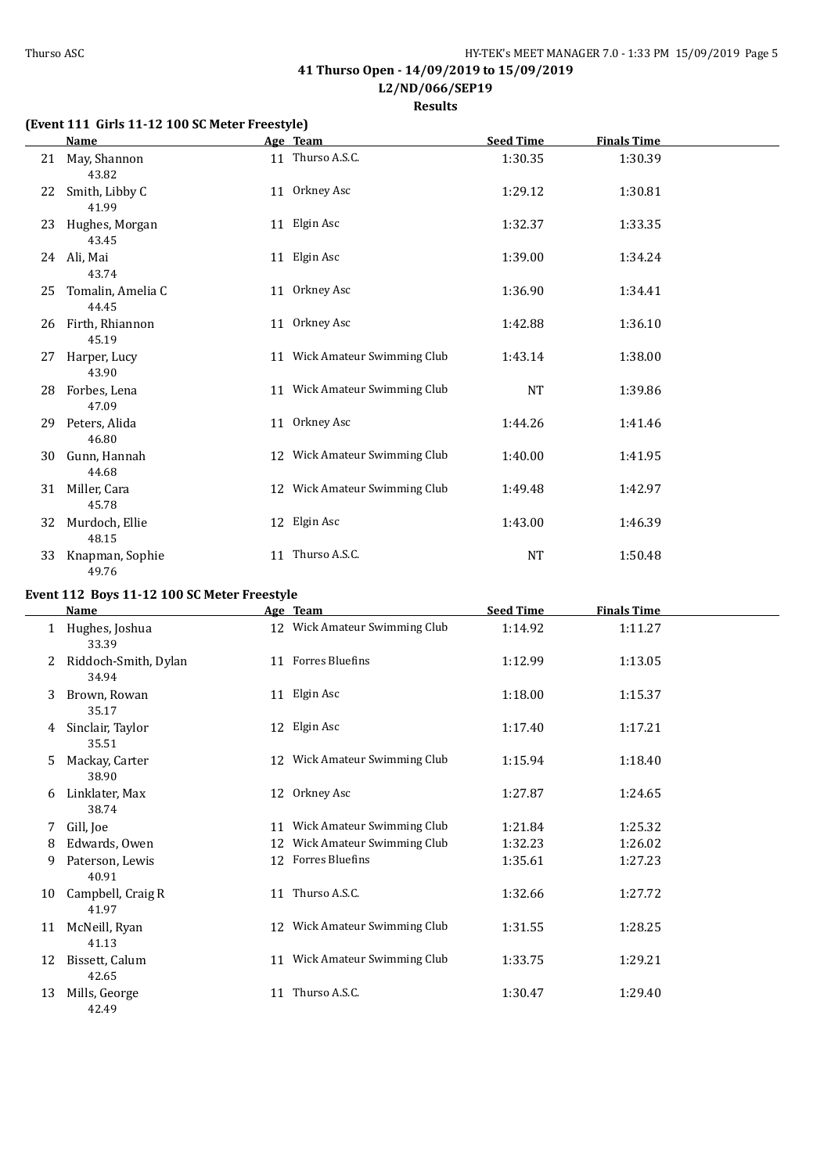**L2/ND/066/SEP19**

**Results**

## **(Event 111 Girls 11-12 100 SC Meter Freestyle)**

|    | <b>Name</b>                |    | Age Team                      | <b>Seed Time</b> | <b>Finals Time</b> |  |
|----|----------------------------|----|-------------------------------|------------------|--------------------|--|
|    | 21 May, Shannon<br>43.82   |    | 11 Thurso A.S.C.              | 1:30.35          | 1:30.39            |  |
| 22 | Smith, Libby C<br>41.99    |    | 11 Orkney Asc                 | 1:29.12          | 1:30.81            |  |
| 23 | Hughes, Morgan<br>43.45    |    | 11 Elgin Asc                  | 1:32.37          | 1:33.35            |  |
| 24 | Ali, Mai<br>43.74          |    | 11 Elgin Asc                  | 1:39.00          | 1:34.24            |  |
| 25 | Tomalin, Amelia C<br>44.45 |    | 11 Orkney Asc                 | 1:36.90          | 1:34.41            |  |
| 26 | Firth, Rhiannon<br>45.19   |    | 11 Orkney Asc                 | 1:42.88          | 1:36.10            |  |
| 27 | Harper, Lucy<br>43.90      |    | 11 Wick Amateur Swimming Club | 1:43.14          | 1:38.00            |  |
| 28 | Forbes, Lena<br>47.09      |    | 11 Wick Amateur Swimming Club | NT               | 1:39.86            |  |
| 29 | Peters, Alida<br>46.80     |    | 11 Orkney Asc                 | 1:44.26          | 1:41.46            |  |
| 30 | Gunn, Hannah<br>44.68      |    | 12 Wick Amateur Swimming Club | 1:40.00          | 1:41.95            |  |
| 31 | Miller, Cara<br>45.78      |    | 12 Wick Amateur Swimming Club | 1:49.48          | 1:42.97            |  |
| 32 | Murdoch, Ellie<br>48.15    |    | 12 Elgin Asc                  | 1:43.00          | 1:46.39            |  |
| 33 | Knapman, Sophie<br>49.76   | 11 | Thurso A.S.C.                 | NT               | 1:50.48            |  |

## **Event 112 Boys 11-12 100 SC Meter Freestyle**

|    | <b>Name</b>                   |    | Age Team                      | <b>Seed Time</b> | <b>Finals Time</b> |  |
|----|-------------------------------|----|-------------------------------|------------------|--------------------|--|
|    | Hughes, Joshua<br>33.39       |    | 12 Wick Amateur Swimming Club | 1:14.92          | 1:11.27            |  |
| 2  | Riddoch-Smith, Dylan<br>34.94 |    | 11 Forres Bluefins            | 1:12.99          | 1:13.05            |  |
| 3  | Brown, Rowan<br>35.17         |    | 11 Elgin Asc                  | 1:18.00          | 1:15.37            |  |
| 4  | Sinclair, Taylor<br>35.51     |    | 12 Elgin Asc                  | 1:17.40          | 1:17.21            |  |
| 5  | Mackay, Carter<br>38.90       |    | 12 Wick Amateur Swimming Club | 1:15.94          | 1:18.40            |  |
| 6  | Linklater, Max<br>38.74       | 12 | Orkney Asc                    | 1:27.87          | 1:24.65            |  |
| 7  | Gill, Joe                     | 11 | Wick Amateur Swimming Club    | 1:21.84          | 1:25.32            |  |
| 8  | Edwards, Owen                 | 12 | Wick Amateur Swimming Club    | 1:32.23          | 1:26.02            |  |
| 9  | Paterson, Lewis<br>40.91      |    | 12 Forres Bluefins            | 1:35.61          | 1:27.23            |  |
| 10 | Campbell, Craig R<br>41.97    | 11 | Thurso A.S.C.                 | 1:32.66          | 1:27.72            |  |
| 11 | McNeill, Ryan<br>41.13        |    | 12 Wick Amateur Swimming Club | 1:31.55          | 1:28.25            |  |
| 12 | Bissett, Calum<br>42.65       |    | 11 Wick Amateur Swimming Club | 1:33.75          | 1:29.21            |  |
| 13 | Mills, George<br>42.49        | 11 | Thurso A.S.C.                 | 1:30.47          | 1:29.40            |  |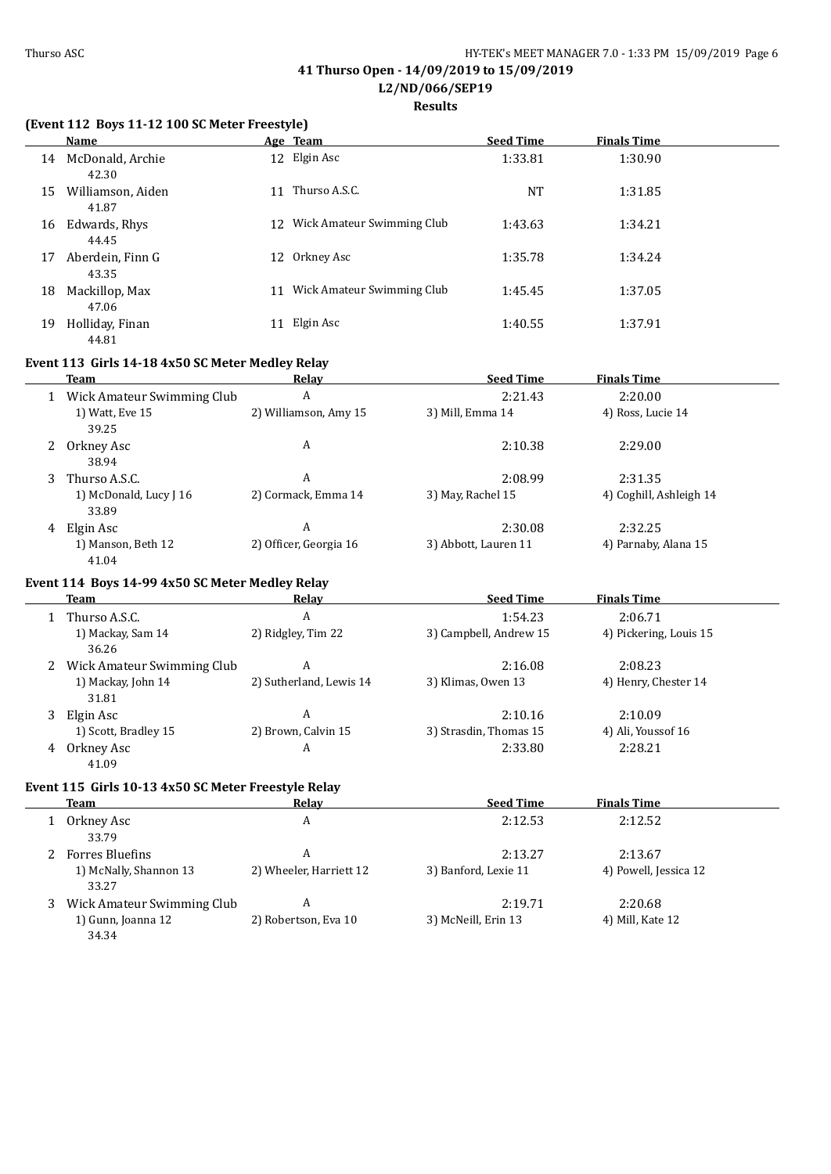**Results**

### **(Event 112 Boys 11-12 100 SC Meter Freestyle)**

|    | Name                       |    | Age Team                   | <b>Seed Time</b> | <b>Finals Time</b> |  |
|----|----------------------------|----|----------------------------|------------------|--------------------|--|
| 14 | McDonald, Archie<br>42.30  |    | 12 Elgin Asc               | 1:33.81          | 1:30.90            |  |
| 15 | Williamson, Aiden<br>41.87 | 11 | Thurso A.S.C.              | NT               | 1:31.85            |  |
| 16 | Edwards, Rhys<br>44.45     | 12 | Wick Amateur Swimming Club | 1:43.63          | 1:34.21            |  |
| 17 | Aberdein, Finn G<br>43.35  | 12 | Orkney Asc                 | 1:35.78          | 1:34.24            |  |
| 18 | Mackillop, Max<br>47.06    | 11 | Wick Amateur Swimming Club | 1:45.45          | 1:37.05            |  |
| 19 | Holliday, Finan<br>44.81   | 11 | Elgin Asc                  | 1:40.55          | 1:37.91            |  |

## **Event 113 Girls 14-18 4x50 SC Meter Medley Relay**

|   | Team                            | Relay                  | <b>Seed Time</b>     | <b>Finals Time</b>      |  |
|---|---------------------------------|------------------------|----------------------|-------------------------|--|
|   | Wick Amateur Swimming Club      | A                      | 2:21.43              | 2:20.00                 |  |
|   | 1) Watt, Eve 15<br>39.25        | 2) Williamson, Amy 15  | 3) Mill, Emma 14     | 4) Ross, Lucie 14       |  |
| 2 | Orkney Asc<br>38.94             | A                      | 2:10.38              | 2:29.00                 |  |
| 3 | Thurso A.S.C.                   | A                      | 2:08.99              | 2:31.35                 |  |
|   | 1) McDonald, Lucy J 16<br>33.89 | 2) Cormack, Emma 14    | 3) May, Rachel 15    | 4) Coghill, Ashleigh 14 |  |
| 4 | Elgin Asc                       | A                      | 2:30.08              | 2:32.25                 |  |
|   | 1) Manson, Beth 12<br>41.04     | 2) Officer, Georgia 16 | 3) Abbott, Lauren 11 | 4) Parnaby, Alana 15    |  |

## **Event 114 Boys 14-99 4x50 SC Meter Medley Relay**

|   | Team                        | Relay                   | <b>Seed Time</b>       | <b>Finals Time</b>     |  |
|---|-----------------------------|-------------------------|------------------------|------------------------|--|
|   | Thurso A.S.C.               | A                       | 1:54.23                | 2:06.71                |  |
|   | 1) Mackay, Sam 14<br>36.26  | 2) Ridgley, Tim 22      | 3) Campbell, Andrew 15 | 4) Pickering, Louis 15 |  |
|   | Wick Amateur Swimming Club  | A                       | 2:16.08                | 2:08.23                |  |
|   | 1) Mackay, John 14<br>31.81 | 2) Sutherland, Lewis 14 | 3) Klimas, Owen 13     | 4) Henry, Chester 14   |  |
|   | Elgin Asc                   | A                       | 2:10.16                | 2:10.09                |  |
|   | 1) Scott, Bradley 15        | 2) Brown, Calvin 15     | 3) Strasdin, Thomas 15 | 4) Ali, Youssof 16     |  |
| 4 | Orkney Asc<br>41.09         | A                       | 2:33.80                | 2:28.21                |  |

### **Event 115 Girls 10-13 4x50 SC Meter Freestyle Relay**

| Team                                                      | Relay                        | <b>Seed Time</b>                | <b>Finals Time</b>               |  |
|-----------------------------------------------------------|------------------------------|---------------------------------|----------------------------------|--|
| Orkney Asc<br>33.79                                       | A                            | 2:12.53                         | 2:12.52                          |  |
| <b>Forres Bluefins</b><br>1) McNally, Shannon 13<br>33.27 | A<br>2) Wheeler, Harriett 12 | 2:13.27<br>3) Banford, Lexie 11 | 2:13.67<br>4) Powell, Jessica 12 |  |
| Wick Amateur Swimming Club<br>1) Gunn, Joanna 12<br>34.34 | A<br>2) Robertson, Eva 10    | 2:19.71<br>3) McNeill, Erin 13  | 2:20.68<br>4) Mill, Kate 12      |  |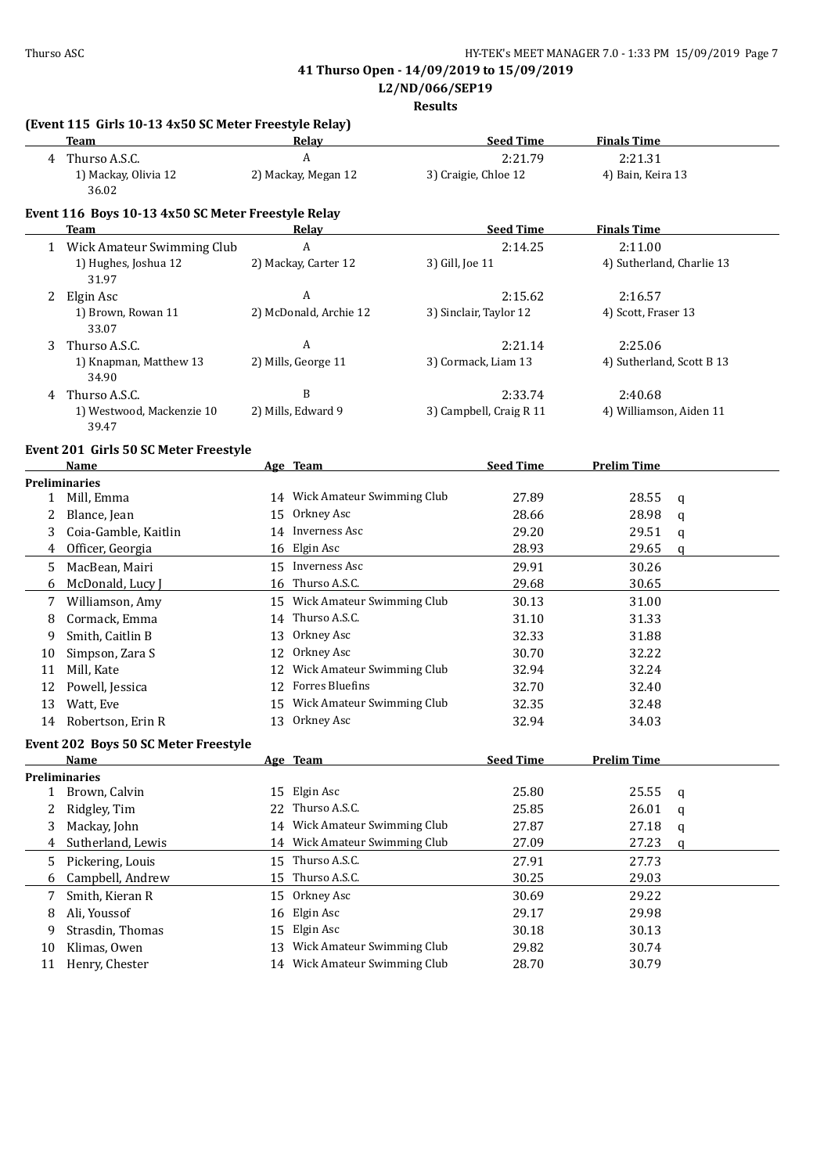**L2/ND/066/SEP19**

|        | (Event 115 Girls 10-13 4x50 SC Meter Freestyle Relay)<br>Team |    | Relay                         |                 | <b>Seed Time</b>                  | <b>Finals Time</b>                   |        |
|--------|---------------------------------------------------------------|----|-------------------------------|-----------------|-----------------------------------|--------------------------------------|--------|
|        | 4 Thurso A.S.C.                                               |    | A                             |                 | 2:21.79                           | 2:21.31                              |        |
|        | 1) Mackay, Olivia 12<br>36.02                                 |    | 2) Mackay, Megan 12           |                 | 3) Craigie, Chloe 12              | 4) Bain, Keira 13                    |        |
|        | Event 116 Boys 10-13 4x50 SC Meter Freestyle Relay            |    |                               |                 |                                   |                                      |        |
|        | Team                                                          |    | <b>Relay</b>                  |                 | <b>Seed Time</b>                  | <b>Finals Time</b>                   |        |
|        | 1 Wick Amateur Swimming Club<br>1) Hughes, Joshua 12<br>31.97 |    | A<br>2) Mackay, Carter 12     | 3) Gill, Joe 11 | 2:14.25                           | 2:11.00<br>4) Sutherland, Charlie 13 |        |
|        | 2 Elgin Asc<br>1) Brown, Rowan 11<br>33.07                    |    | A<br>2) McDonald, Archie 12   |                 | 2:15.62<br>3) Sinclair, Taylor 12 | 2:16.57<br>4) Scott, Fraser 13       |        |
| 3      | Thurso A.S.C.<br>1) Knapman, Matthew 13<br>34.90              |    | A<br>2) Mills, George 11      |                 | 2:21.14<br>3) Cormack, Liam 13    | 2:25.06<br>4) Sutherland, Scott B 13 |        |
| 4      | Thurso A.S.C.                                                 |    | B                             |                 | 2:33.74                           | 2:40.68                              |        |
|        | 1) Westwood, Mackenzie 10<br>39.47                            |    | 2) Mills, Edward 9            |                 | 3) Campbell, Craig R 11           | 4) Williamson, Aiden 11              |        |
|        | Event 201 Girls 50 SC Meter Freestyle                         |    |                               |                 |                                   |                                      |        |
|        | Name                                                          |    | Age Team                      |                 | <b>Seed Time</b>                  | <b>Prelim Time</b>                   |        |
| 1      | <b>Preliminaries</b><br>Mill, Emma                            |    | 14 Wick Amateur Swimming Club |                 | 27.89                             | 28.55                                |        |
| 2      | Blance, Jean                                                  |    | 15 Orkney Asc                 |                 | 28.66                             | 28.98                                | q      |
| 3      | Coia-Gamble, Kaitlin                                          |    | 14 Inverness Asc              |                 | 29.20                             | 29.51                                | q      |
| 4      | Officer, Georgia                                              |    | 16 Elgin Asc                  |                 | 28.93                             | 29.65                                | q<br>q |
| 5.     | MacBean, Mairi                                                |    | 15 Inverness Asc              |                 | 29.91                             | 30.26                                |        |
| 6      | McDonald, Lucy J                                              |    | 16 Thurso A.S.C.              |                 | 29.68                             | 30.65                                |        |
|        | Williamson, Amy                                               |    | 15 Wick Amateur Swimming Club |                 | 30.13                             | 31.00                                |        |
| 7<br>8 | Cormack, Emma                                                 | 14 | Thurso A.S.C.                 |                 | 31.10                             | 31.33                                |        |
| 9      | Smith, Caitlin B                                              | 13 | Orkney Asc                    |                 | 32.33                             | 31.88                                |        |
| 10     | Simpson, Zara S                                               | 12 | Orkney Asc                    |                 | 30.70                             | 32.22                                |        |
| 11     | Mill, Kate                                                    | 12 | Wick Amateur Swimming Club    |                 | 32.94                             | 32.24                                |        |
| 12     | Powell, Jessica                                               | 12 | Forres Bluefins               |                 | 32.70                             | 32.40                                |        |
| 13     | Watt, Eve                                                     | 15 | Wick Amateur Swimming Club    |                 | 32.35                             | 32.48                                |        |
| 14     | Robertson, Erin R                                             |    | 13 Orkney Asc                 |                 | 32.94                             | 34.03                                |        |
|        | Event 202 Boys 50 SC Meter Freestyle                          |    |                               |                 |                                   |                                      |        |
|        | Name                                                          |    | Age Team                      |                 | <b>Seed Time</b>                  | <b>Prelim Time</b>                   |        |
|        | <b>Preliminaries</b><br>1 Brown, Calvin                       | 15 | Elgin Asc                     |                 | 25.80                             | 25.55                                |        |
| 2      | Ridgley, Tim                                                  | 22 | Thurso A.S.C.                 |                 | 25.85                             | 26.01                                | q      |
| 3      | Mackay, John                                                  | 14 | Wick Amateur Swimming Club    |                 | 27.87                             | 27.18                                | q      |
| 4      | Sutherland, Lewis                                             | 14 | Wick Amateur Swimming Club    |                 | 27.09                             | 27.23                                | q      |
|        |                                                               |    | Thurso A.S.C.                 |                 |                                   |                                      | a      |
| 5      | Pickering, Louis                                              | 15 | Thurso A.S.C.                 |                 | 27.91                             | 27.73                                |        |
| 6      | Campbell, Andrew                                              | 15 |                               |                 | 30.25                             | 29.03                                |        |
| 7      | Smith, Kieran R                                               | 15 | Orkney Asc                    |                 | 30.69                             | 29.22                                |        |
| 8      | Ali, Youssof                                                  | 16 | Elgin Asc                     |                 | 29.17                             | 29.98                                |        |
| 9      | Strasdin, Thomas                                              | 15 | Elgin Asc                     |                 | 30.18                             | 30.13                                |        |
| 10     | Klimas, Owen                                                  | 13 | Wick Amateur Swimming Club    |                 | 29.82                             | 30.74                                |        |
| 11     | Henry, Chester                                                |    | 14 Wick Amateur Swimming Club |                 | 28.70                             | 30.79                                |        |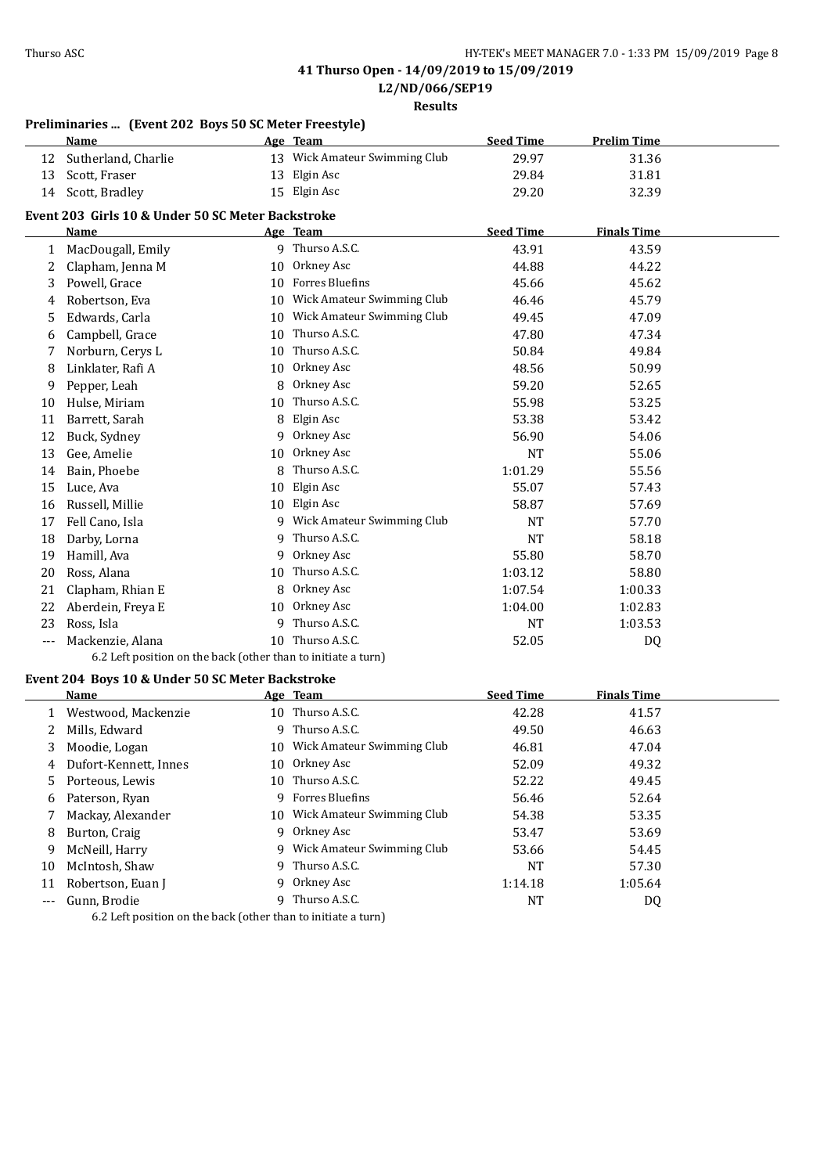**L2/ND/066/SEP19**

**Results**

|                      | Preliminaries  (Event 202 Boys 50 SC Meter Freestyle)         |    |                               |                  |                    |  |
|----------------------|---------------------------------------------------------------|----|-------------------------------|------------------|--------------------|--|
|                      | Name                                                          |    | Age Team                      | <b>Seed Time</b> | <b>Prelim Time</b> |  |
| 12                   | Sutherland, Charlie                                           |    | 13 Wick Amateur Swimming Club | 29.97            | 31.36              |  |
| 13                   | Scott, Fraser                                                 |    | 13 Elgin Asc                  | 29.84            | 31.81              |  |
| 14                   | Scott, Bradley                                                |    | 15 Elgin Asc                  | 29.20            | 32.39              |  |
|                      | Event 203 Girls 10 & Under 50 SC Meter Backstroke             |    |                               |                  |                    |  |
|                      | <b>Name</b>                                                   |    | Age Team                      | <b>Seed Time</b> | <b>Finals Time</b> |  |
| $\mathbf{1}$         | MacDougall, Emily                                             |    | 9 Thurso A.S.C.               | 43.91            | 43.59              |  |
| 2                    | Clapham, Jenna M                                              |    | 10 Orkney Asc                 | 44.88            | 44.22              |  |
| 3                    | Powell, Grace                                                 |    | 10 Forres Bluefins            | 45.66            | 45.62              |  |
| 4                    | Robertson, Eva                                                |    | 10 Wick Amateur Swimming Club | 46.46            | 45.79              |  |
| 5                    | Edwards, Carla                                                |    | 10 Wick Amateur Swimming Club | 49.45            | 47.09              |  |
| 6                    | Campbell, Grace                                               |    | 10 Thurso A.S.C.              | 47.80            | 47.34              |  |
| 7                    | Norburn, Cerys L                                              |    | 10 Thurso A.S.C.              | 50.84            | 49.84              |  |
| 8                    | Linklater, Rafi A                                             |    | 10 Orkney Asc                 | 48.56            | 50.99              |  |
| 9                    | Pepper, Leah                                                  | 8  | Orkney Asc                    | 59.20            | 52.65              |  |
| 10                   | Hulse, Miriam                                                 | 10 | Thurso A.S.C.                 | 55.98            | 53.25              |  |
| 11                   | Barrett, Sarah                                                | 8  | Elgin Asc                     | 53.38            | 53.42              |  |
| 12                   | Buck, Sydney                                                  | 9  | Orkney Asc                    | 56.90            | 54.06              |  |
| 13                   | Gee, Amelie                                                   | 10 | Orkney Asc                    | <b>NT</b>        | 55.06              |  |
| 14                   | Bain, Phoebe                                                  | 8  | Thurso A.S.C.                 | 1:01.29          | 55.56              |  |
| 15                   | Luce, Ava                                                     | 10 | Elgin Asc                     | 55.07            | 57.43              |  |
| 16                   | Russell, Millie                                               |    | 10 Elgin Asc                  | 58.87            | 57.69              |  |
| 17                   | Fell Cano, Isla                                               |    | 9 Wick Amateur Swimming Club  | <b>NT</b>        | 57.70              |  |
| 18                   | Darby, Lorna                                                  | 9  | Thurso A.S.C.                 | <b>NT</b>        | 58.18              |  |
| 19                   | Hamill, Ava                                                   | 9  | Orkney Asc                    | 55.80            | 58.70              |  |
| 20                   | Ross, Alana                                                   |    | 10 Thurso A.S.C.              | 1:03.12          | 58.80              |  |
| 21                   | Clapham, Rhian E                                              | 8  | Orkney Asc                    | 1:07.54          | 1:00.33            |  |
| 22                   | Aberdein, Freya E                                             |    | 10 Orkney Asc                 | 1:04.00          | 1:02.83            |  |
| 23                   | Ross, Isla                                                    | 9  | Thurso A.S.C.                 | <b>NT</b>        | 1:03.53            |  |
| $---$                | Mackenzie, Alana                                              |    | 10 Thurso A.S.C.              | 52.05            | DQ                 |  |
|                      | 6.2 Left position on the back (other than to initiate a turn) |    |                               |                  |                    |  |
|                      | Event 204 Boys 10 & Under 50 SC Meter Backstroke              |    |                               |                  |                    |  |
|                      | Name                                                          |    | Age Team                      | <b>Seed Time</b> | <b>Finals Time</b> |  |
| 1                    | Westwood, Mackenzie                                           |    | 10 Thurso A.S.C.              | 42.28            | 41.57              |  |
| 2                    | Mills, Edward                                                 |    | 9 Thurso A.S.C.               | 49.50            | 46.63              |  |
| 3                    | Moodie, Logan                                                 | 10 | Wick Amateur Swimming Club    | 46.81            | 47.04              |  |
| 4                    | Dufort-Kennett, Innes                                         | 10 | Orkney Asc                    | 52.09            | 49.32              |  |
| 5                    | Porteous, Lewis                                               | 10 | Thurso A.S.C.                 | 52.22            | 49.45              |  |
| 6                    | Paterson, Ryan                                                | 9  | Forres Bluefins               | 56.46            | 52.64              |  |
| 7                    | Mackay, Alexander                                             |    | 10 Wick Amateur Swimming Club | 54.38            | 53.35              |  |
| 8                    | Burton, Craig                                                 |    | 9 Orkney Asc                  | 53.47            | 53.69              |  |
| 9                    | McNeill, Harry                                                | 9  | Wick Amateur Swimming Club    | 53.66            | 54.45              |  |
| 10                   | McIntosh, Shaw                                                | 9  | Thurso A.S.C.                 | NT               | 57.30              |  |
| 11                   | Robertson, Euan J                                             | 9  | Orkney Asc                    | 1:14.18          | 1:05.64            |  |
| $\scriptstyle\cdots$ | Gunn, Brodie                                                  |    | 9 Thurso A.S.C.               | NT               | DQ                 |  |

6.2 Left position on the back (other than to initiate a turn)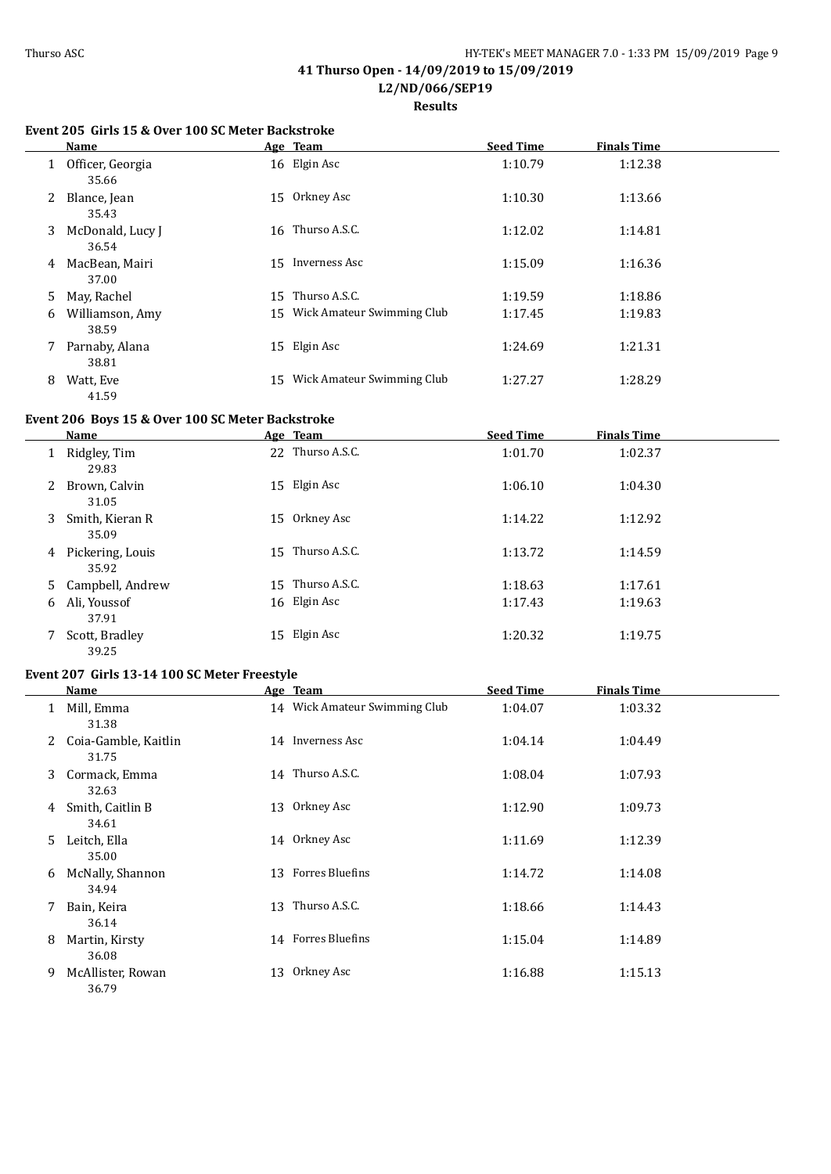٠

 $\equiv$ 

 $\overline{a}$ 

### **41 Thurso Open - 14/09/2019 to 15/09/2019 L2/ND/066/SEP19**

**Results**

#### **Event 205 Girls 15 & Over 100 SC Meter Backstroke**

|    | Name                        |    | Age Team                      | <b>Seed Time</b> | <b>Finals Time</b> |  |
|----|-----------------------------|----|-------------------------------|------------------|--------------------|--|
|    | 1 Officer, Georgia<br>35.66 |    | 16 Elgin Asc                  | 1:10.79          | 1:12.38            |  |
| 2  | Blance, Jean<br>35.43       | 15 | Orkney Asc                    | 1:10.30          | 1:13.66            |  |
| 3  | McDonald, Lucy J<br>36.54   | 16 | Thurso A.S.C.                 | 1:12.02          | 1:14.81            |  |
| 4  | MacBean, Mairi<br>37.00     | 15 | Inverness Asc                 | 1:15.09          | 1:16.36            |  |
| 5. | May, Rachel                 | 15 | Thurso A.S.C.                 | 1:19.59          | 1:18.86            |  |
| 6  | Williamson, Amy<br>38.59    |    | 15 Wick Amateur Swimming Club | 1:17.45          | 1:19.83            |  |
| 7  | Parnaby, Alana<br>38.81     |    | 15 Elgin Asc                  | 1:24.69          | 1:21.31            |  |
| 8  | Watt, Eve<br>41.59          | 15 | Wick Amateur Swimming Club    | 1:27.27          | 1:28.29            |  |

## **Event 206 Boys 15 & Over 100 SC Meter Backstroke**

|    | Name                      |    | Age Team         | <b>Seed Time</b> | <b>Finals Time</b> |
|----|---------------------------|----|------------------|------------------|--------------------|
|    | Ridgley, Tim<br>29.83     |    | 22 Thurso A.S.C. | 1:01.70          | 1:02.37            |
| 2  | Brown, Calvin<br>31.05    |    | 15 Elgin Asc     | 1:06.10          | 1:04.30            |
| 3. | Smith, Kieran R<br>35.09  |    | 15 Orkney Asc    | 1:14.22          | 1:12.92            |
| 4  | Pickering, Louis<br>35.92 | 15 | Thurso A.S.C.    | 1:13.72          | 1:14.59            |
| 5. | Campbell, Andrew          |    | 15 Thurso A.S.C. | 1:18.63          | 1:17.61            |
| 6  | Ali, Youssof<br>37.91     |    | 16 Elgin Asc     | 1:17.43          | 1:19.63            |
|    | Scott, Bradley<br>39.25   |    | 15 Elgin Asc     | 1:20.32          | 1:19.75            |

### **Event 207 Girls 13-14 100 SC Meter Freestyle**

|    | Name                          |    | Age Team                      | <b>Seed Time</b> | <b>Finals Time</b> |  |
|----|-------------------------------|----|-------------------------------|------------------|--------------------|--|
|    | Mill, Emma<br>31.38           |    | 14 Wick Amateur Swimming Club | 1:04.07          | 1:03.32            |  |
| 2  | Coia-Gamble, Kaitlin<br>31.75 |    | 14 Inverness Asc              | 1:04.14          | 1:04.49            |  |
| 3  | Cormack, Emma<br>32.63        |    | 14 Thurso A.S.C.              | 1:08.04          | 1:07.93            |  |
| 4  | Smith, Caitlin B<br>34.61     | 13 | Orkney Asc                    | 1:12.90          | 1:09.73            |  |
| 5. | Leitch, Ella<br>35.00         |    | 14 Orkney Asc                 | 1:11.69          | 1:12.39            |  |
| 6  | McNally, Shannon<br>34.94     |    | 13 Forres Bluefins            | 1:14.72          | 1:14.08            |  |
| 7  | Bain, Keira<br>36.14          |    | 13 Thurso A.S.C.              | 1:18.66          | 1:14.43            |  |
| 8  | Martin, Kirsty<br>36.08       |    | 14 Forres Bluefins            | 1:15.04          | 1:14.89            |  |
| 9  | McAllister, Rowan<br>36.79    | 13 | Orkney Asc                    | 1:16.88          | 1:15.13            |  |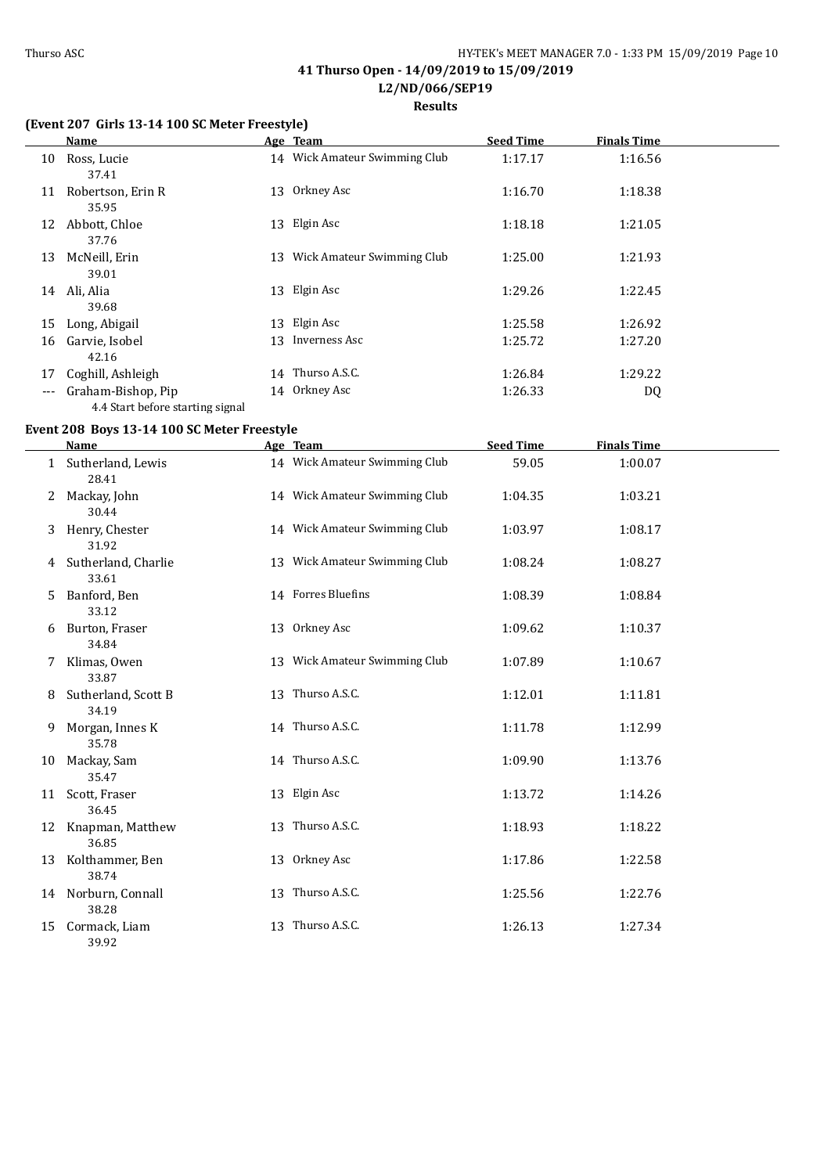**Results**

## **(Event 207 Girls 13-14 100 SC Meter Freestyle)**

|       | <b>Name</b>                                            |    | Age Team                      | <b>Seed Time</b> | <b>Finals Time</b> |  |
|-------|--------------------------------------------------------|----|-------------------------------|------------------|--------------------|--|
| 10    | Ross, Lucie<br>37.41                                   |    | 14 Wick Amateur Swimming Club | 1:17.17          | 1:16.56            |  |
| 11    | Robertson, Erin R<br>35.95                             |    | 13 Orkney Asc                 | 1:16.70          | 1:18.38            |  |
| 12    | Abbott, Chloe<br>37.76                                 | 13 | Elgin Asc                     | 1:18.18          | 1:21.05            |  |
| 13    | McNeill, Erin<br>39.01                                 | 13 | Wick Amateur Swimming Club    | 1:25.00          | 1:21.93            |  |
| 14    | Ali, Alia<br>39.68                                     | 13 | Elgin Asc                     | 1:29.26          | 1:22.45            |  |
| 15    | Long, Abigail                                          |    | 13 Elgin Asc                  | 1:25.58          | 1:26.92            |  |
| 16    | Garvie, Isobel<br>42.16                                |    | 13 Inverness Asc              | 1:25.72          | 1:27.20            |  |
| 17    | Coghill, Ashleigh                                      |    | 14 Thurso A.S.C.              | 1:26.84          | 1:29.22            |  |
| $---$ | Graham-Bishop, Pip<br>4.4 Start before starting signal |    | 14 Orkney Asc                 | 1:26.33          | DQ                 |  |

### **Event 208 Boys 13-14 100 SC Meter Freestyle**

|    | <b>Name</b>                  | Age Team                      | <b>Seed Time</b> | <b>Finals Time</b> |  |
|----|------------------------------|-------------------------------|------------------|--------------------|--|
|    | Sutherland, Lewis<br>28.41   | 14 Wick Amateur Swimming Club | 59.05            | 1:00.07            |  |
| 2  | Mackay, John<br>30.44        | 14 Wick Amateur Swimming Club | 1:04.35          | 1:03.21            |  |
| 3  | Henry, Chester<br>31.92      | 14 Wick Amateur Swimming Club | 1:03.97          | 1:08.17            |  |
| 4  | Sutherland, Charlie<br>33.61 | 13 Wick Amateur Swimming Club | 1:08.24          | 1:08.27            |  |
| 5. | Banford, Ben<br>33.12        | 14 Forres Bluefins            | 1:08.39          | 1:08.84            |  |
| 6  | Burton, Fraser<br>34.84      | 13 Orkney Asc                 | 1:09.62          | 1:10.37            |  |
|    | Klimas, Owen<br>33.87        | 13 Wick Amateur Swimming Club | 1:07.89          | 1:10.67            |  |
| 8  | Sutherland, Scott B<br>34.19 | 13 Thurso A.S.C.              | 1:12.01          | 1:11.81            |  |
| 9  | Morgan, Innes K<br>35.78     | 14 Thurso A.S.C.              | 1:11.78          | 1:12.99            |  |
| 10 | Mackay, Sam<br>35.47         | 14 Thurso A.S.C.              | 1:09.90          | 1:13.76            |  |
| 11 | Scott, Fraser<br>36.45       | 13 Elgin Asc                  | 1:13.72          | 1:14.26            |  |
| 12 | Knapman, Matthew<br>36.85    | 13 Thurso A.S.C.              | 1:18.93          | 1:18.22            |  |
| 13 | Kolthammer, Ben<br>38.74     | 13 Orkney Asc                 | 1:17.86          | 1:22.58            |  |
|    | 14 Norburn, Connall<br>38.28 | 13 Thurso A.S.C.              | 1:25.56          | 1:22.76            |  |
| 15 | Cormack, Liam<br>39.92       | 13 Thurso A.S.C.              | 1:26.13          | 1:27.34            |  |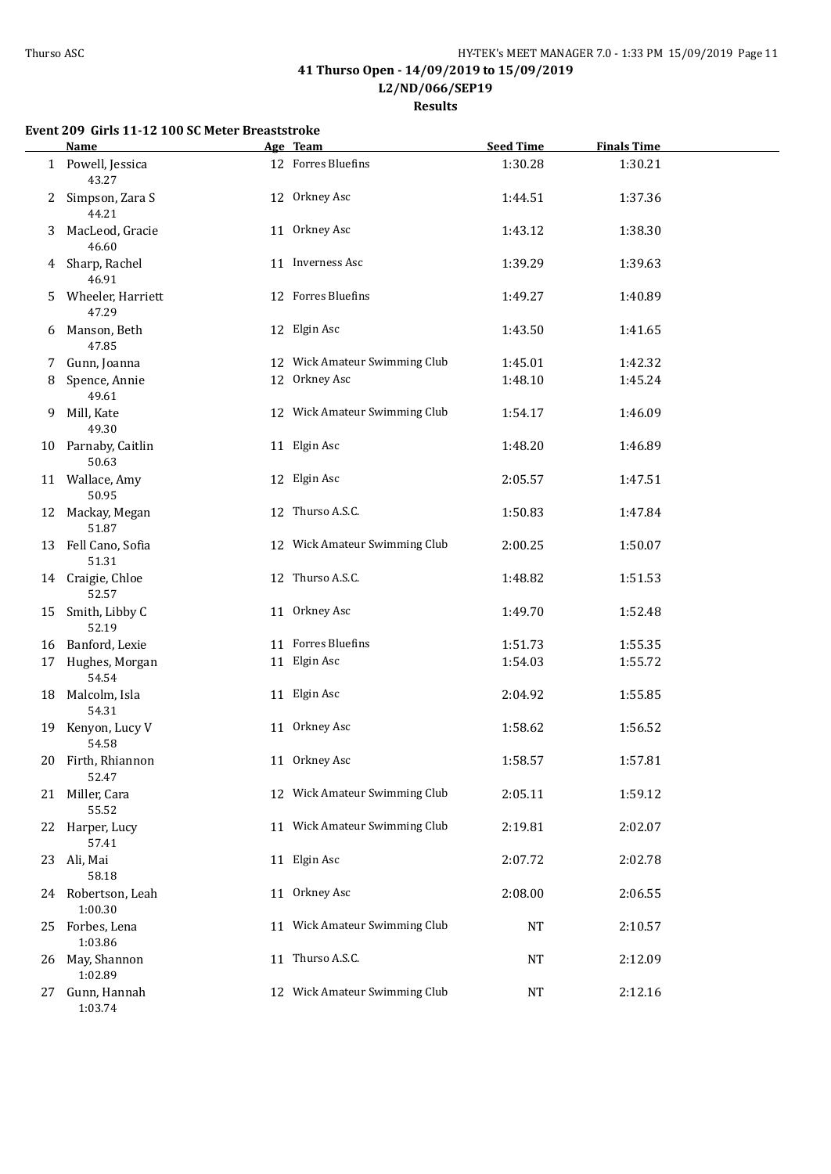**L2/ND/066/SEP19**

**Results**

## **Event 209 Girls 11-12 100 SC Meter Breaststroke**

|    | Name                          | Age Team                      | <b>Seed Time</b> | <b>Finals Time</b> |  |
|----|-------------------------------|-------------------------------|------------------|--------------------|--|
|    | 1 Powell, Jessica<br>43.27    | 12 Forres Bluefins            | 1:30.28          | 1:30.21            |  |
| 2  | Simpson, Zara S<br>44.21      | 12 Orkney Asc                 | 1:44.51          | 1:37.36            |  |
| 3  | MacLeod, Gracie<br>46.60      | 11 Orkney Asc                 | 1:43.12          | 1:38.30            |  |
|    | 4 Sharp, Rachel<br>46.91      | 11 Inverness Asc              | 1:39.29          | 1:39.63            |  |
| 5. | Wheeler, Harriett<br>47.29    | 12 Forres Bluefins            | 1:49.27          | 1:40.89            |  |
|    | 6 Manson, Beth<br>47.85       | 12 Elgin Asc                  | 1:43.50          | 1:41.65            |  |
| 7  | Gunn, Joanna                  | 12 Wick Amateur Swimming Club | 1:45.01          | 1:42.32            |  |
| 8  | Spence, Annie<br>49.61        | 12 Orkney Asc                 | 1:48.10          | 1:45.24            |  |
|    | 9 Mill, Kate<br>49.30         | 12 Wick Amateur Swimming Club | 1:54.17          | 1:46.09            |  |
|    | 10 Parnaby, Caitlin<br>50.63  | 11 Elgin Asc                  | 1:48.20          | 1:46.89            |  |
|    | 11 Wallace, Amy<br>50.95      | 12 Elgin Asc                  | 2:05.57          | 1:47.51            |  |
|    | 12 Mackay, Megan<br>51.87     | 12 Thurso A.S.C.              | 1:50.83          | 1:47.84            |  |
|    | 13 Fell Cano, Sofia<br>51.31  | 12 Wick Amateur Swimming Club | 2:00.25          | 1:50.07            |  |
|    | 14 Craigie, Chloe<br>52.57    | 12 Thurso A.S.C.              | 1:48.82          | 1:51.53            |  |
|    | 15 Smith, Libby C<br>52.19    | 11 Orkney Asc                 | 1:49.70          | 1:52.48            |  |
|    | 16 Banford, Lexie             | 11 Forres Bluefins            | 1:51.73          | 1:55.35            |  |
|    | 17 Hughes, Morgan<br>54.54    | 11 Elgin Asc                  | 1:54.03          | 1:55.72            |  |
|    | 18 Malcolm, Isla<br>54.31     | 11 Elgin Asc                  | 2:04.92          | 1:55.85            |  |
|    | 19 Kenyon, Lucy V<br>54.58    | 11 Orkney Asc                 | 1:58.62          | 1:56.52            |  |
|    | 20 Firth, Rhiannon<br>52.47   | 11 Orkney Asc                 | 1:58.57          | 1:57.81            |  |
|    | 21 Miller, Cara<br>55.52      | 12 Wick Amateur Swimming Club | 2:05.11          | 1:59.12            |  |
|    | 22 Harper, Lucy<br>57.41      | 11 Wick Amateur Swimming Club | 2:19.81          | 2:02.07            |  |
|    | 23 Ali, Mai<br>58.18          | 11 Elgin Asc                  | 2:07.72          | 2:02.78            |  |
|    | 24 Robertson, Leah<br>1:00.30 | 11 Orkney Asc                 | 2:08.00          | 2:06.55            |  |
|    | 25 Forbes, Lena<br>1:03.86    | 11 Wick Amateur Swimming Club | NT               | 2:10.57            |  |
| 26 | May, Shannon<br>1:02.89       | 11 Thurso A.S.C.              | NT               | 2:12.09            |  |
| 27 | Gunn, Hannah<br>1:03.74       | 12 Wick Amateur Swimming Club | NT               | 2:12.16            |  |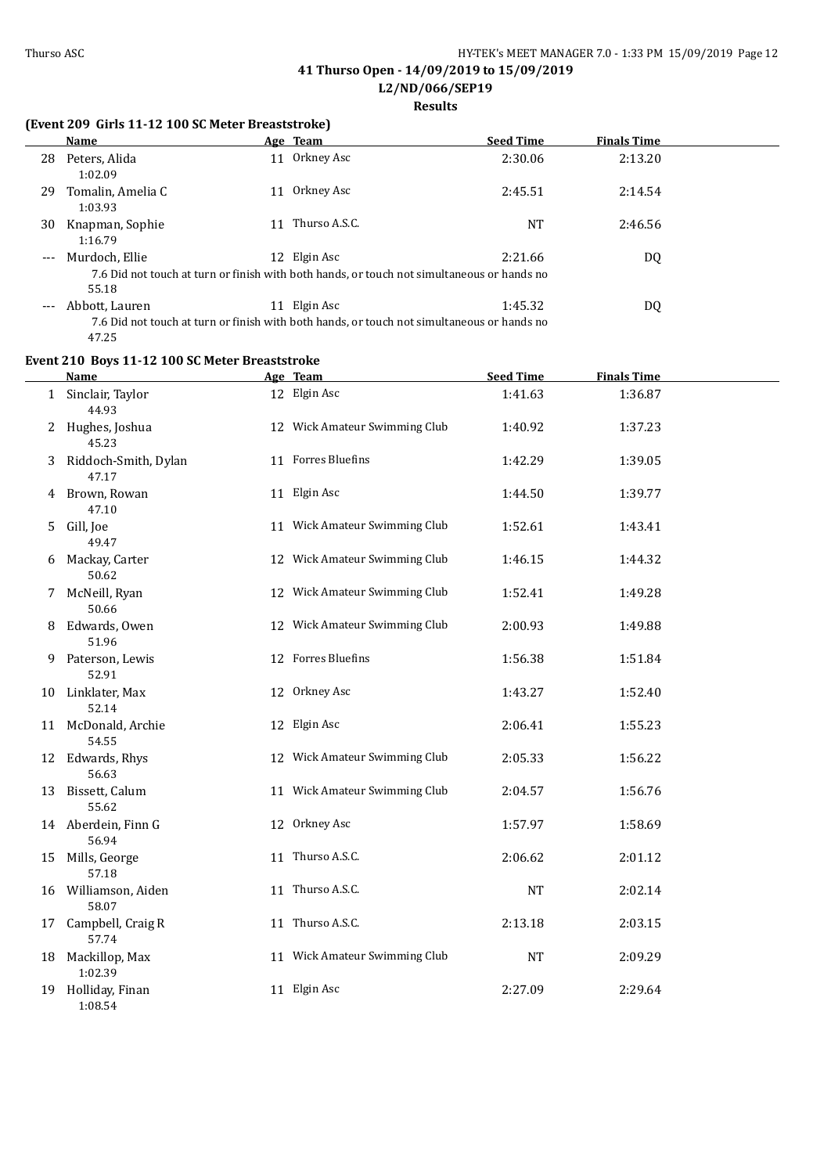**L2/ND/066/SEP19**

## **Results**

### **(Event 209 Girls 11-12 100 SC Meter Breaststroke)**

|                     | Name                         |     | <u>Age Team</u> | <b>Seed Time</b>                                                                                      | <b>Finals Time</b> |  |
|---------------------|------------------------------|-----|-----------------|-------------------------------------------------------------------------------------------------------|--------------------|--|
| 28                  | Peters, Alida<br>1:02.09     | 11  | Orkney Asc      | 2:30.06                                                                                               | 2:13.20            |  |
| 29                  | Tomalin, Amelia C<br>1:03.93 | 11  | Orkney Asc      | 2:45.51                                                                                               | 2:14.54            |  |
| 30                  | Knapman, Sophie<br>1:16.79   | 11  | Thurso A.S.C.   | NT                                                                                                    | 2:46.56            |  |
| $---$               | Murdoch, Ellie<br>55.18      | 12. | Elgin Asc       | 2:21.66<br>7.6 Did not touch at turn or finish with both hands, or touch not simultaneous or hands no | DQ                 |  |
| $\qquad \qquad - -$ | Abbott, Lauren               | 11  | Elgin Asc       | 1:45.32<br>7.6 Did not touch at turn or finish with both hands, or touch not simultaneous or hands no | DQ                 |  |

7.6 Did not touch at turn or finish with both hands, or touch not simultaneous or hands no 47.25

## **Event 210 Boys 11-12 100 SC Meter Breaststroke**

|    | <b>Name</b>                   | Age Team                      | <b>Seed Time</b> | <b>Finals Time</b> |  |
|----|-------------------------------|-------------------------------|------------------|--------------------|--|
|    | 1 Sinclair, Taylor<br>44.93   | 12 Elgin Asc                  | 1:41.63          | 1:36.87            |  |
|    | 2 Hughes, Joshua<br>45.23     | 12 Wick Amateur Swimming Club | 1:40.92          | 1:37.23            |  |
| 3  | Riddoch-Smith, Dylan<br>47.17 | 11 Forres Bluefins            | 1:42.29          | 1:39.05            |  |
|    | 4 Brown, Rowan<br>47.10       | 11 Elgin Asc                  | 1:44.50          | 1:39.77            |  |
| 5. | Gill, Joe<br>49.47            | 11 Wick Amateur Swimming Club | 1:52.61          | 1:43.41            |  |
|    | 6 Mackay, Carter<br>50.62     | 12 Wick Amateur Swimming Club | 1:46.15          | 1:44.32            |  |
|    | 7 McNeill, Ryan<br>50.66      | 12 Wick Amateur Swimming Club | 1:52.41          | 1:49.28            |  |
|    | 8 Edwards, Owen<br>51.96      | 12 Wick Amateur Swimming Club | 2:00.93          | 1:49.88            |  |
|    | 9 Paterson, Lewis<br>52.91    | 12 Forres Bluefins            | 1:56.38          | 1:51.84            |  |
|    | 10 Linklater, Max<br>52.14    | 12 Orkney Asc                 | 1:43.27          | 1:52.40            |  |
|    | 11 McDonald, Archie<br>54.55  | 12 Elgin Asc                  | 2:06.41          | 1:55.23            |  |
|    | 12 Edwards, Rhys<br>56.63     | 12 Wick Amateur Swimming Club | 2:05.33          | 1:56.22            |  |
|    | 13 Bissett, Calum<br>55.62    | 11 Wick Amateur Swimming Club | 2:04.57          | 1:56.76            |  |
|    | 14 Aberdein, Finn G<br>56.94  | 12 Orkney Asc                 | 1:57.97          | 1:58.69            |  |
| 15 | Mills, George<br>57.18        | 11 Thurso A.S.C.              | 2:06.62          | 2:01.12            |  |
|    | 16 Williamson, Aiden<br>58.07 | 11 Thurso A.S.C.              | NT               | 2:02.14            |  |
| 17 | Campbell, Craig R<br>57.74    | 11 Thurso A.S.C.              | 2:13.18          | 2:03.15            |  |
|    | 18 Mackillop, Max<br>1:02.39  | 11 Wick Amateur Swimming Club | <b>NT</b>        | 2:09.29            |  |
|    | 19 Holliday, Finan<br>1:08.54 | 11 Elgin Asc                  | 2:27.09          | 2:29.64            |  |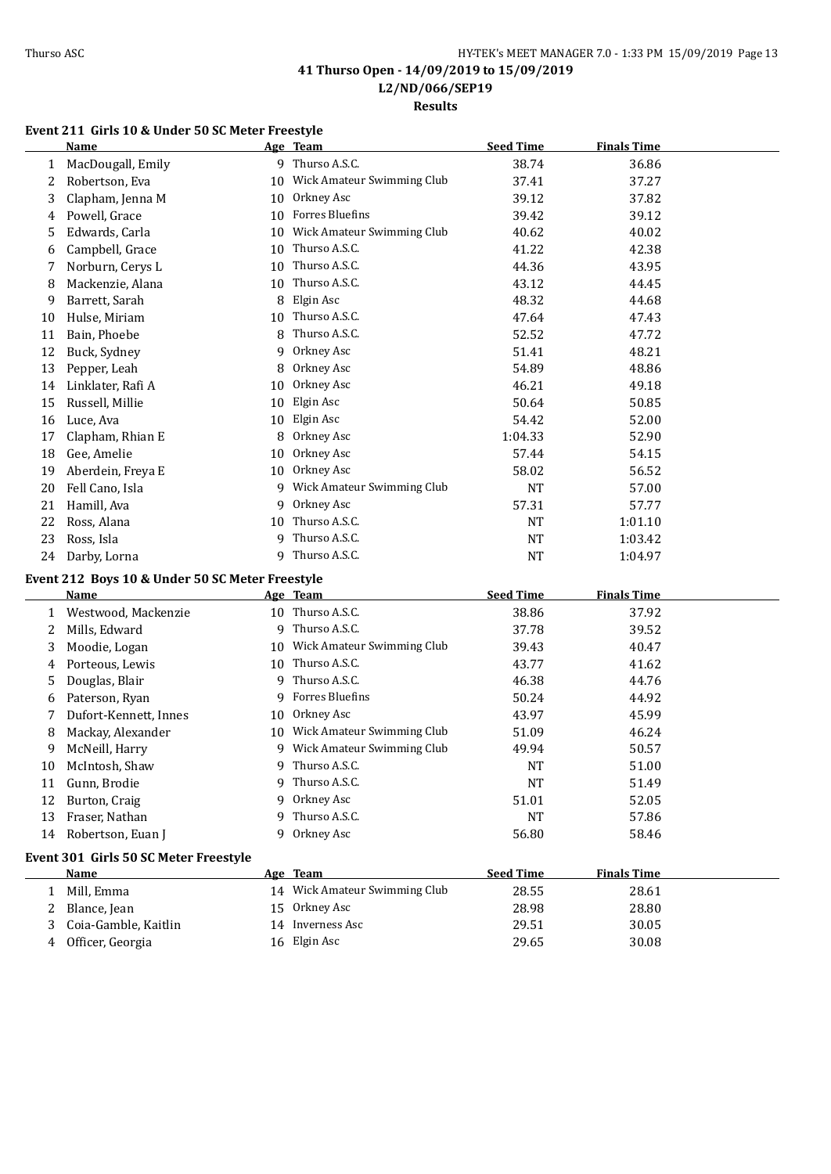**L2/ND/066/SEP19**

**Results**

## **Event 211 Girls 10 & Under 50 SC Meter Freestyle**

|              | <b>Name</b>                                     |    | Age Team                      | <b>Seed Time</b> | <b>Finals Time</b> |
|--------------|-------------------------------------------------|----|-------------------------------|------------------|--------------------|
| 1            | MacDougall, Emily                               |    | 9 Thurso A.S.C.               | 38.74            | 36.86              |
| 2            | Robertson, Eva                                  |    | 10 Wick Amateur Swimming Club | 37.41            | 37.27              |
| 3            | Clapham, Jenna M                                | 10 | Orkney Asc                    | 39.12            | 37.82              |
| 4            | Powell, Grace                                   | 10 | Forres Bluefins               | 39.42            | 39.12              |
| 5            | Edwards, Carla                                  | 10 | Wick Amateur Swimming Club    | 40.62            | 40.02              |
| 6            | Campbell, Grace                                 | 10 | Thurso A.S.C.                 | 41.22            | 42.38              |
| 7            | Norburn, Cerys L                                | 10 | Thurso A.S.C.                 | 44.36            | 43.95              |
| 8            | Mackenzie, Alana                                | 10 | Thurso A.S.C.                 | 43.12            | 44.45              |
| 9            | Barrett, Sarah                                  | 8  | Elgin Asc                     | 48.32            | 44.68              |
| 10           | Hulse, Miriam                                   | 10 | Thurso A.S.C.                 | 47.64            | 47.43              |
| 11           | Bain, Phoebe                                    | 8  | Thurso A.S.C.                 | 52.52            | 47.72              |
| 12           | Buck, Sydney                                    | 9  | Orkney Asc                    | 51.41            | 48.21              |
| 13           | Pepper, Leah                                    | 8  | Orkney Asc                    | 54.89            | 48.86              |
| 14           | Linklater, Rafi A                               | 10 | Orkney Asc                    | 46.21            | 49.18              |
| 15           | Russell, Millie                                 | 10 | Elgin Asc                     | 50.64            | 50.85              |
| 16           | Luce, Ava                                       | 10 | Elgin Asc                     | 54.42            | 52.00              |
| 17           | Clapham, Rhian E                                | 8  | Orkney Asc                    | 1:04.33          | 52.90              |
| 18           | Gee, Amelie                                     | 10 | Orkney Asc                    | 57.44            | 54.15              |
| 19           | Aberdein, Freya E                               | 10 | Orkney Asc                    | 58.02            | 56.52              |
| 20           | Fell Cano, Isla                                 | 9  | Wick Amateur Swimming Club    | <b>NT</b>        | 57.00              |
| 21           | Hamill, Ava                                     | 9  | Orkney Asc                    | 57.31            | 57.77              |
| 22           | Ross, Alana                                     | 10 | Thurso A.S.C.                 | NT               | 1:01.10            |
| 23           | Ross, Isla                                      | 9  | Thurso A.S.C.                 | <b>NT</b>        | 1:03.42            |
| 24           | Darby, Lorna                                    |    | 9 Thurso A.S.C.               | <b>NT</b>        | 1:04.97            |
|              | Event 212 Boys 10 & Under 50 SC Meter Freestyle |    |                               |                  |                    |
|              | Name                                            |    | Age Team                      | <b>Seed Time</b> | <b>Finals Time</b> |
| 1            | Westwood, Mackenzie                             |    | 10 Thurso A.S.C.              | 38.86            | 37.92              |
| 2            | Mills, Edward                                   |    | 9 Thurso A.S.C.               | 37.78            | 39.52              |
| 3            | Moodie, Logan                                   |    | 10 Wick Amateur Swimming Club | 39.43            | 40.47              |
| 4            | Porteous, Lewis                                 |    | 10 Thurso A.S.C.              | 43.77            | 41.62              |
| 5            | Douglas, Blair                                  | 9  | Thurso A.S.C.                 | 46.38            | 44.76              |
| 6            | Paterson, Ryan                                  | 9  | Forres Bluefins               | 50.24            | 44.92              |
| 7            | Dufort-Kennett, Innes                           | 10 | Orkney Asc                    | 43.97            | 45.99              |
| 8            | Mackay, Alexander                               |    | 10 Wick Amateur Swimming Club | 51.09            | 46.24              |
| 9            | McNeill, Harry                                  |    | 9 Wick Amateur Swimming Club  | 49.94            | 50.57              |
| $10\,$       | McIntosh, Shaw                                  |    | 9 Thurso A.S.C.               | <b>NT</b>        | 51.00              |
| 11           | Gunn, Brodie                                    |    | 9 Thurso A.S.C.               | NT               | 51.49              |
| 12           | Burton, Craig                                   |    | 9 Orkney Asc                  | 51.01            | 52.05              |
| 13           | Fraser, Nathan                                  |    | 9 Thurso A.S.C.               | <b>NT</b>        | 57.86              |
| 14           | Robertson, Euan J                               |    | 9 Orkney Asc                  | 56.80            | 58.46              |
|              |                                                 |    |                               |                  |                    |
|              | Event 301 Girls 50 SC Meter Freestyle           |    |                               |                  |                    |
|              | <b>Name</b>                                     |    | Age Team                      | <b>Seed Time</b> | <b>Finals Time</b> |
| $\mathbf{1}$ | Mill, Emma                                      |    | 14 Wick Amateur Swimming Club | 28.55            | 28.61              |
| 2            | Blance, Jean                                    |    | 15 Orkney Asc                 | 28.98            | 28.80              |
| 3            | Coia-Gamble, Kaitlin                            |    | 14 Inverness Asc              | 29.51            | 30.05              |
| 4            | Officer, Georgia                                |    | 16 Elgin Asc                  | 29.65            | 30.08              |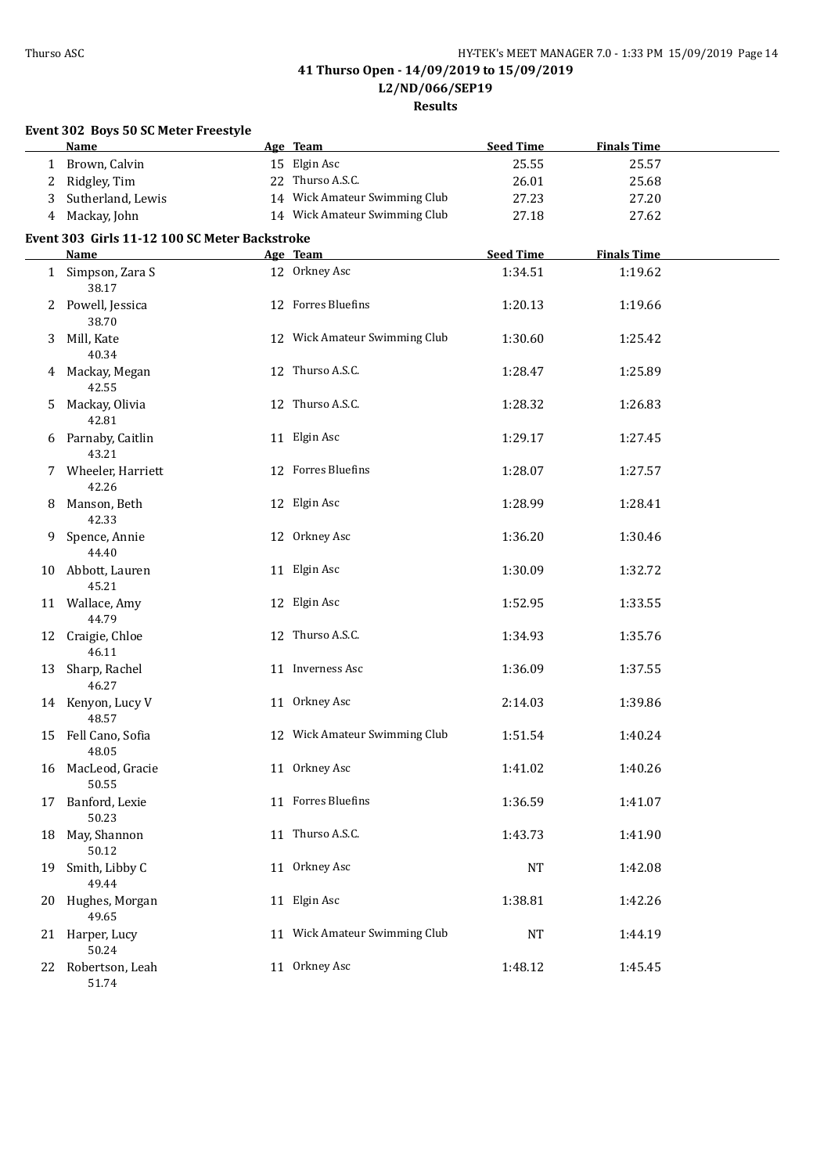**Results**

| Event 302 Boys 50 SC Meter Freestyle |                                               |  |                               |                  |                    |  |
|--------------------------------------|-----------------------------------------------|--|-------------------------------|------------------|--------------------|--|
|                                      | Name                                          |  | Age Team                      | <b>Seed Time</b> | <b>Finals Time</b> |  |
|                                      | 1 Brown, Calvin                               |  | 15 Elgin Asc                  | 25.55            | 25.57              |  |
| 2                                    | Ridgley, Tim                                  |  | 22 Thurso A.S.C.              | 26.01            | 25.68              |  |
| 3                                    | Sutherland, Lewis                             |  | 14 Wick Amateur Swimming Club | 27.23            | 27.20              |  |
| 4                                    | Mackay, John                                  |  | 14 Wick Amateur Swimming Club | 27.18            | 27.62              |  |
|                                      | Event 303 Girls 11-12 100 SC Meter Backstroke |  |                               |                  |                    |  |
|                                      | Name                                          |  | Age Team                      | <b>Seed Time</b> | <b>Finals Time</b> |  |
|                                      | 1 Simpson, Zara S<br>38.17                    |  | 12 Orkney Asc                 | 1:34.51          | 1:19.62            |  |
|                                      | 2 Powell, Jessica<br>38.70                    |  | 12 Forres Bluefins            | 1:20.13          | 1:19.66            |  |
| 3                                    | Mill, Kate<br>40.34                           |  | 12 Wick Amateur Swimming Club | 1:30.60          | 1:25.42            |  |
|                                      | 4 Mackay, Megan<br>42.55                      |  | 12 Thurso A.S.C.              | 1:28.47          | 1:25.89            |  |
| 5                                    | Mackay, Olivia<br>42.81                       |  | 12 Thurso A.S.C.              | 1:28.32          | 1:26.83            |  |
|                                      | 6 Parnaby, Caitlin<br>43.21                   |  | 11 Elgin Asc                  | 1:29.17          | 1:27.45            |  |
|                                      | 7 Wheeler, Harriett<br>42.26                  |  | 12 Forres Bluefins            | 1:28.07          | 1:27.57            |  |
| 8                                    | Manson, Beth<br>42.33                         |  | 12 Elgin Asc                  | 1:28.99          | 1:28.41            |  |
| 9                                    | Spence, Annie<br>44.40                        |  | 12 Orkney Asc                 | 1:36.20          | 1:30.46            |  |
|                                      | 10 Abbott, Lauren<br>45.21                    |  | 11 Elgin Asc                  | 1:30.09          | 1:32.72            |  |
|                                      | 11 Wallace, Amy<br>44.79                      |  | 12 Elgin Asc                  | 1:52.95          | 1:33.55            |  |
|                                      | 12 Craigie, Chloe<br>46.11                    |  | 12 Thurso A.S.C.              | 1:34.93          | 1:35.76            |  |
| 13                                   | Sharp, Rachel<br>46.27                        |  | 11 Inverness Asc              | 1:36.09          | 1:37.55            |  |
|                                      | 14 Kenyon, Lucy V<br>48.57                    |  | 11 Orkney Asc                 | 2:14.03          | 1:39.86            |  |
|                                      | 15 Fell Cano, Sofia<br>48.05                  |  | 12 Wick Amateur Swimming Club | 1:51.54          | 1:40.24            |  |
| 16                                   | MacLeod, Gracie<br>50.55                      |  | 11 Orkney Asc                 | 1:41.02          | 1:40.26            |  |
| 17                                   | Banford, Lexie<br>50.23                       |  | 11 Forres Bluefins            | 1:36.59          | 1:41.07            |  |
| 18                                   | May, Shannon<br>50.12                         |  | 11 Thurso A.S.C.              | 1:43.73          | 1:41.90            |  |
| 19                                   | Smith, Libby C<br>49.44                       |  | 11 Orkney Asc                 | <b>NT</b>        | 1:42.08            |  |
|                                      | 20 Hughes, Morgan<br>49.65                    |  | 11 Elgin Asc                  | 1:38.81          | 1:42.26            |  |
|                                      | 21 Harper, Lucy<br>50.24                      |  | 11 Wick Amateur Swimming Club | NT               | 1:44.19            |  |
|                                      | 22 Robertson, Leah<br>51.74                   |  | 11 Orkney Asc                 | 1:48.12          | 1:45.45            |  |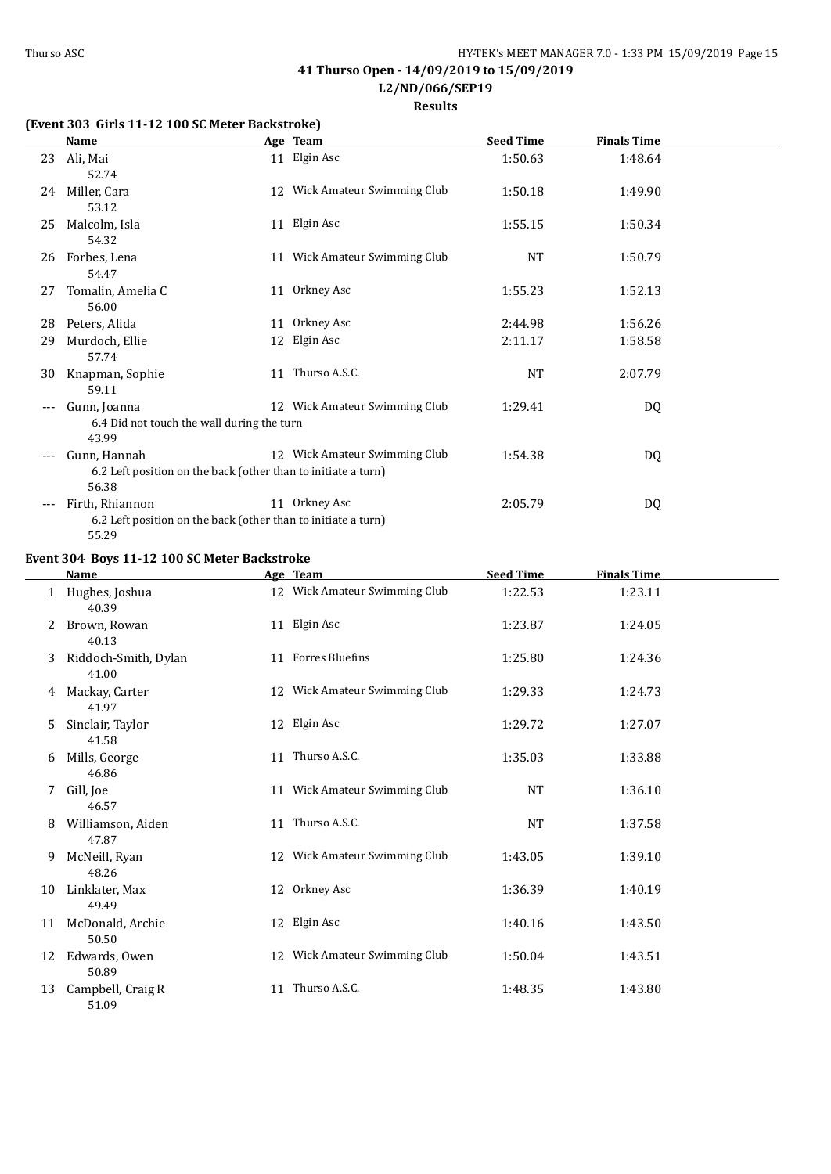**Results**

### **(Event 303 Girls 11-12 100 SC Meter Backstroke)**

|     | Name                                                                                   | Age Team                      | <b>Seed Time</b> | Finals Time |  |
|-----|----------------------------------------------------------------------------------------|-------------------------------|------------------|-------------|--|
| 23  | Ali, Mai<br>52.74                                                                      | 11 Elgin Asc                  | 1:50.63          | 1:48.64     |  |
| 24  | Miller, Cara<br>53.12                                                                  | 12 Wick Amateur Swimming Club | 1:50.18          | 1:49.90     |  |
| 25  | Malcolm, Isla<br>54.32                                                                 | 11 Elgin Asc                  | 1:55.15          | 1:50.34     |  |
| 26  | Forbes, Lena<br>54.47                                                                  | 11 Wick Amateur Swimming Club | NT               | 1:50.79     |  |
| 27  | Tomalin, Amelia C<br>56.00                                                             | 11 Orkney Asc                 | 1:55.23          | 1:52.13     |  |
| 28  | Peters, Alida                                                                          | 11 Orkney Asc                 | 2:44.98          | 1:56.26     |  |
| 29  | Murdoch, Ellie<br>57.74                                                                | 12 Elgin Asc                  | 2:11.17          | 1:58.58     |  |
| 30  | Knapman, Sophie<br>59.11                                                               | 11 Thurso A.S.C.              | NT               | 2:07.79     |  |
|     | Gunn, Joanna<br>6.4 Did not touch the wall during the turn<br>43.99                    | 12 Wick Amateur Swimming Club | 1:29.41          | DQ          |  |
| --- | Gunn, Hannah<br>6.2 Left position on the back (other than to initiate a turn)<br>56.38 | 12 Wick Amateur Swimming Club | 1:54.38          | DQ          |  |
| --- | Firth, Rhiannon<br>6.2 Left position on the back (other than to initiate a turn)       | 11 Orkney Asc                 | 2:05.79          | DQ          |  |

55.29 **Event 304 Boys 11-12 100 SC Meter Backstroke**

|    | Name                          | Age Team                      | <b>Seed Time</b> | <b>Finals Time</b> |  |
|----|-------------------------------|-------------------------------|------------------|--------------------|--|
| 1  | Hughes, Joshua<br>40.39       | 12 Wick Amateur Swimming Club | 1:22.53          | 1:23.11            |  |
| 2  | Brown, Rowan<br>40.13         | 11 Elgin Asc                  | 1:23.87          | 1:24.05            |  |
| 3  | Riddoch-Smith, Dylan<br>41.00 | 11 Forres Bluefins            | 1:25.80          | 1:24.36            |  |
| 4  | Mackay, Carter<br>41.97       | 12 Wick Amateur Swimming Club | 1:29.33          | 1:24.73            |  |
| 5  | Sinclair, Taylor<br>41.58     | 12 Elgin Asc                  | 1:29.72          | 1:27.07            |  |
| 6  | Mills, George<br>46.86        | 11 Thurso A.S.C.              | 1:35.03          | 1:33.88            |  |
| 7  | Gill, Joe<br>46.57            | 11 Wick Amateur Swimming Club | NT               | 1:36.10            |  |
| 8  | Williamson, Aiden<br>47.87    | 11 Thurso A.S.C.              | <b>NT</b>        | 1:37.58            |  |
| 9  | McNeill, Ryan<br>48.26        | 12 Wick Amateur Swimming Club | 1:43.05          | 1:39.10            |  |
| 10 | Linklater, Max<br>49.49       | 12 Orkney Asc                 | 1:36.39          | 1:40.19            |  |
| 11 | McDonald, Archie<br>50.50     | 12 Elgin Asc                  | 1:40.16          | 1:43.50            |  |
| 12 | Edwards, Owen<br>50.89        | 12 Wick Amateur Swimming Club | 1:50.04          | 1:43.51            |  |
| 13 | Campbell, Craig R<br>51.09    | 11 Thurso A.S.C.              | 1:48.35          | 1:43.80            |  |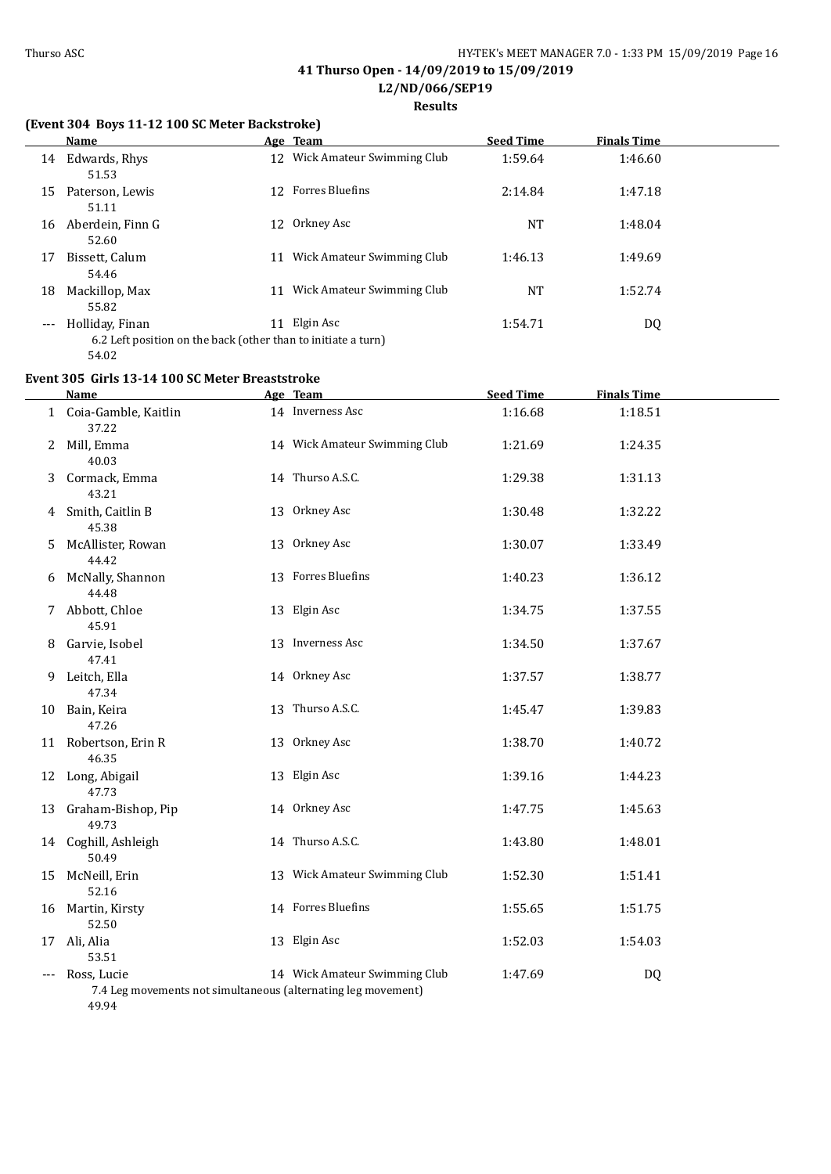#### **Results**

### **(Event 304 Boys 11-12 100 SC Meter Backstroke)**

|       | <b>Name</b>                                                                               |    | Age Team                      | <b>Seed Time</b> | <b>Finals Time</b> |  |
|-------|-------------------------------------------------------------------------------------------|----|-------------------------------|------------------|--------------------|--|
| 14    | Edwards, Rhys<br>51.53                                                                    |    | 12 Wick Amateur Swimming Club | 1:59.64          | 1:46.60            |  |
| 15    | Paterson, Lewis<br>51.11                                                                  |    | 12 Forres Bluefins            | 2:14.84          | 1:47.18            |  |
| 16    | Aberdein, Finn G<br>52.60                                                                 |    | 12 Orkney Asc                 | NT               | 1:48.04            |  |
| 17    | Bissett, Calum<br>54.46                                                                   | 11 | Wick Amateur Swimming Club    | 1:46.13          | 1:49.69            |  |
| 18    | Mackillop, Max<br>55.82                                                                   | 11 | Wick Amateur Swimming Club    | <b>NT</b>        | 1:52.74            |  |
| $---$ | Holliday, Finan<br>6.2 Left position on the back (other than to initiate a turn)<br>54.02 | 11 | Elgin Asc                     | 1:54.71          | DQ                 |  |

#### **Event 305 Girls 13-14 100 SC Meter Breaststroke**

|   | Name                            | Age Team                                                                                       | <b>Seed Time</b> | <b>Finals Time</b> |  |
|---|---------------------------------|------------------------------------------------------------------------------------------------|------------------|--------------------|--|
|   | 1 Coia-Gamble, Kaitlin<br>37.22 | 14 Inverness Asc                                                                               | 1:16.68          | 1:18.51            |  |
| 2 | Mill, Emma<br>40.03             | 14 Wick Amateur Swimming Club                                                                  | 1:21.69          | 1:24.35            |  |
| 3 | Cormack, Emma<br>43.21          | 14 Thurso A.S.C.                                                                               | 1:29.38          | 1:31.13            |  |
| 4 | Smith, Caitlin B<br>45.38       | 13 Orkney Asc                                                                                  | 1:30.48          | 1:32.22            |  |
| 5 | McAllister, Rowan<br>44.42      | 13 Orkney Asc                                                                                  | 1:30.07          | 1:33.49            |  |
| 6 | McNally, Shannon<br>44.48       | 13 Forres Bluefins                                                                             | 1:40.23          | 1:36.12            |  |
| 7 | Abbott, Chloe<br>45.91          | 13 Elgin Asc                                                                                   | 1:34.75          | 1:37.55            |  |
| 8 | Garvie, Isobel<br>47.41         | 13 Inverness Asc                                                                               | 1:34.50          | 1:37.67            |  |
| 9 | Leitch, Ella<br>47.34           | 14 Orkney Asc                                                                                  | 1:37.57          | 1:38.77            |  |
|   | 10 Bain, Keira<br>47.26         | 13 Thurso A.S.C.                                                                               | 1:45.47          | 1:39.83            |  |
|   | 11 Robertson, Erin R<br>46.35   | 13 Orkney Asc                                                                                  | 1:38.70          | 1:40.72            |  |
|   | 12 Long, Abigail<br>47.73       | 13 Elgin Asc                                                                                   | 1:39.16          | 1:44.23            |  |
|   | 13 Graham-Bishop, Pip<br>49.73  | 14 Orkney Asc                                                                                  | 1:47.75          | 1:45.63            |  |
|   | 14 Coghill, Ashleigh<br>50.49   | 14 Thurso A.S.C.                                                                               | 1:43.80          | 1:48.01            |  |
|   | 15 McNeill, Erin<br>52.16       | 13 Wick Amateur Swimming Club                                                                  | 1:52.30          | 1:51.41            |  |
|   | 16 Martin, Kirsty<br>52.50      | 14 Forres Bluefins                                                                             | 1:55.65          | 1:51.75            |  |
|   | 17 Ali, Alia<br>53.51           | 13 Elgin Asc                                                                                   | 1:52.03          | 1:54.03            |  |
|   | --- Ross, Lucie<br>49.94        | 14 Wick Amateur Swimming Club<br>7.4 Leg movements not simultaneous (alternating leg movement) | 1:47.69          | DQ                 |  |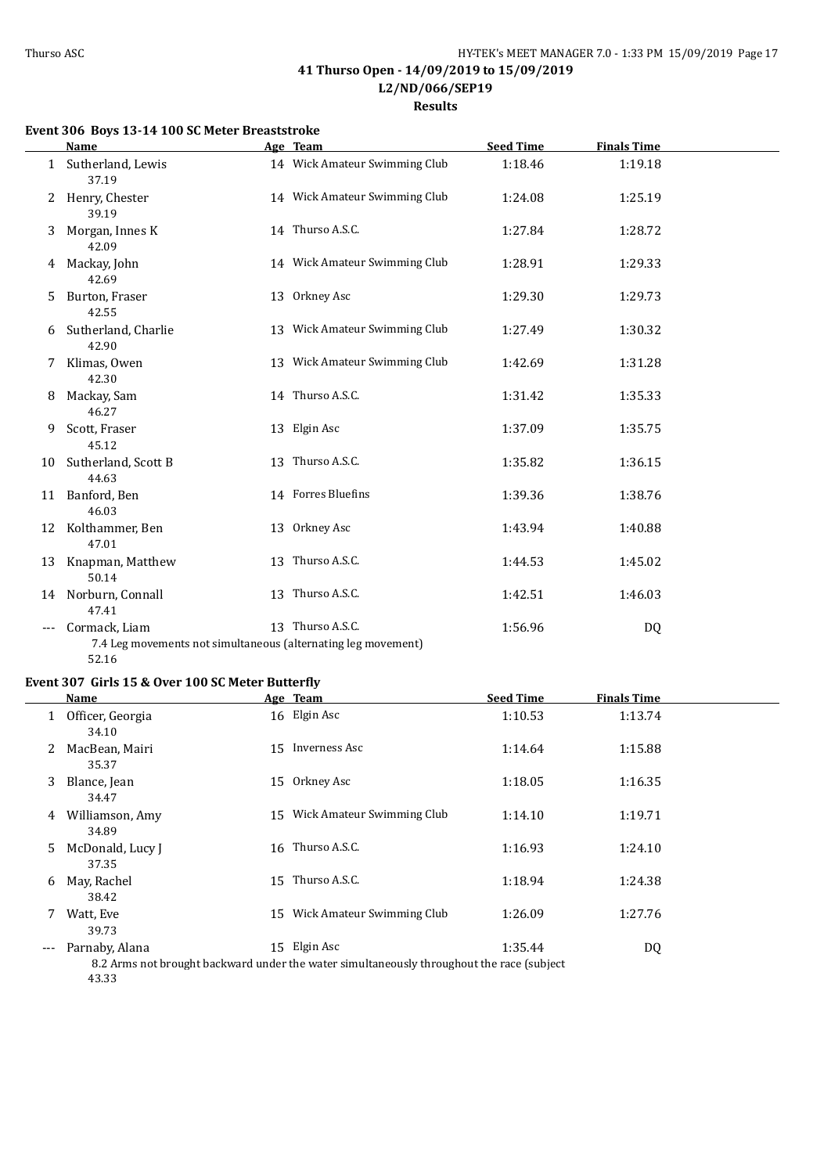$\overline{\phantom{a}}$ 

## **41 Thurso Open - 14/09/2019 to 15/09/2019 L2/ND/066/SEP19**

**Results**

## **Event 306 Boys 13-14 100 SC Meter Breaststroke**

|              | Name                                                                                    | Age Team                      | <b>Seed Time</b> | <b>Finals Time</b> |  |
|--------------|-----------------------------------------------------------------------------------------|-------------------------------|------------------|--------------------|--|
| $\mathbf{1}$ | Sutherland, Lewis<br>37.19                                                              | 14 Wick Amateur Swimming Club | 1:18.46          | 1:19.18            |  |
| 2            | Henry, Chester<br>39.19                                                                 | 14 Wick Amateur Swimming Club | 1:24.08          | 1:25.19            |  |
| 3            | Morgan, Innes K<br>42.09                                                                | 14 Thurso A.S.C.              | 1:27.84          | 1:28.72            |  |
| 4            | Mackay, John<br>42.69                                                                   | 14 Wick Amateur Swimming Club | 1:28.91          | 1:29.33            |  |
| 5.           | Burton, Fraser<br>42.55                                                                 | 13 Orkney Asc                 | 1:29.30          | 1:29.73            |  |
| 6            | Sutherland, Charlie<br>42.90                                                            | 13 Wick Amateur Swimming Club | 1:27.49          | 1:30.32            |  |
| 7            | Klimas, Owen<br>42.30                                                                   | 13 Wick Amateur Swimming Club | 1:42.69          | 1:31.28            |  |
| 8            | Mackay, Sam<br>46.27                                                                    | 14 Thurso A.S.C.              | 1:31.42          | 1:35.33            |  |
| 9            | Scott, Fraser<br>45.12                                                                  | 13 Elgin Asc                  | 1:37.09          | 1:35.75            |  |
| 10           | Sutherland, Scott B<br>44.63                                                            | 13 Thurso A.S.C.              | 1:35.82          | 1:36.15            |  |
|              | 11 Banford, Ben<br>46.03                                                                | 14 Forres Bluefins            | 1:39.36          | 1:38.76            |  |
|              | 12 Kolthammer, Ben<br>47.01                                                             | 13 Orkney Asc                 | 1:43.94          | 1:40.88            |  |
| 13           | Knapman, Matthew<br>50.14                                                               | 13 Thurso A.S.C.              | 1:44.53          | 1:45.02            |  |
| 14           | Norburn, Connall<br>47.41                                                               | 13 Thurso A.S.C.              | 1:42.51          | 1:46.03            |  |
| $---$        | Cormack, Liam<br>7.4 Leg movements not simultaneous (alternating leg movement)<br>52.16 | 13 Thurso A.S.C.              | 1:56.96          | DQ                 |  |

### **Event 307 Girls 15 & Over 100 SC Meter Butterfly**

|       | Name                      |    | Age Team                                                                                                   | <b>Seed Time</b> | <b>Finals Time</b> |  |
|-------|---------------------------|----|------------------------------------------------------------------------------------------------------------|------------------|--------------------|--|
| 1     | Officer, Georgia<br>34.10 |    | 16 Elgin Asc                                                                                               | 1:10.53          | 1:13.74            |  |
| 2     | MacBean, Mairi<br>35.37   | 15 | Inverness Asc                                                                                              | 1:14.64          | 1:15.88            |  |
| 3     | Blance, Jean<br>34.47     | 15 | Orkney Asc                                                                                                 | 1:18.05          | 1:16.35            |  |
| 4     | Williamson, Amy<br>34.89  | 15 | Wick Amateur Swimming Club                                                                                 | 1:14.10          | 1:19.71            |  |
| 5     | McDonald, Lucy J<br>37.35 |    | 16 Thurso A.S.C.                                                                                           | 1:16.93          | 1:24.10            |  |
| 6     | May, Rachel<br>38.42      | 15 | Thurso A.S.C.                                                                                              | 1:18.94          | 1:24.38            |  |
|       | Watt, Eve<br>39.73        | 15 | Wick Amateur Swimming Club                                                                                 | 1:26.09          | 1:27.76            |  |
| $---$ | Parnaby, Alana            |    | 15 Elgin Asc<br>8.2 Arms not brought backward under the water simultaneously throughout the race (subject) | 1:35.44          | DQ                 |  |

43.33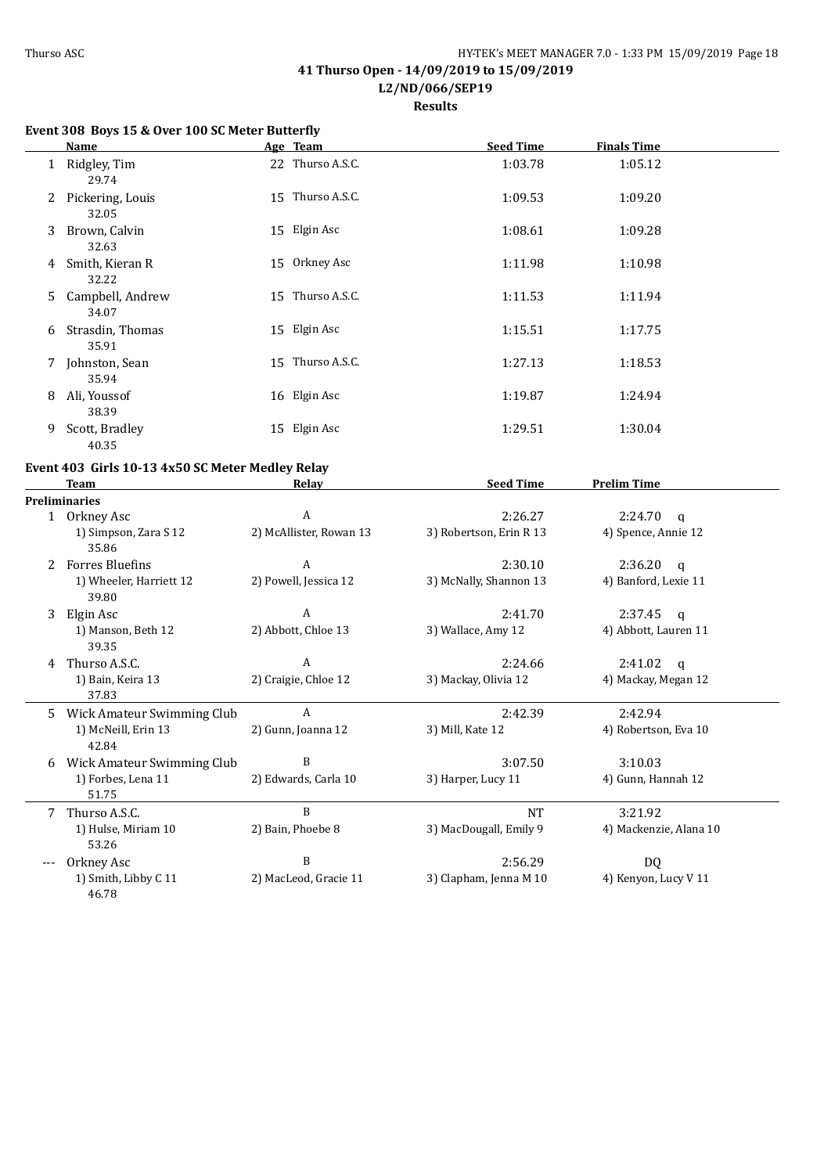$\overline{a}$ 

## **41 Thurso Open - 14/09/2019 to 15/09/2019 L2/ND/066/SEP19**

**Results**

## **Event 308 Boys 15 & Over 100 SC Meter Butterfly**

|    | Name                      | Age Team         | <b>Seed Time</b> | <b>Finals Time</b> |
|----|---------------------------|------------------|------------------|--------------------|
|    | 1 Ridgley, Tim<br>29.74   | 22 Thurso A.S.C. | 1:03.78          | 1:05.12            |
| 2  | Pickering, Louis<br>32.05 | 15 Thurso A.S.C. | 1:09.53          | 1:09.20            |
| 3  | Brown, Calvin<br>32.63    | 15 Elgin Asc     | 1:08.61          | 1:09.28            |
| 4  | Smith, Kieran R<br>32.22  | 15 Orkney Asc    | 1:11.98          | 1:10.98            |
| 5. | Campbell, Andrew<br>34.07 | 15 Thurso A.S.C. | 1:11.53          | 1:11.94            |
| 6  | Strasdin, Thomas<br>35.91 | 15 Elgin Asc     | 1:15.51          | 1:17.75            |
| 7  | Johnston, Sean<br>35.94   | 15 Thurso A.S.C. | 1:27.13          | 1:18.53            |
| 8  | Ali, Youssof<br>38.39     | 16 Elgin Asc     | 1:19.87          | 1:24.94            |
| 9  | Scott, Bradley<br>40.35   | 15 Elgin Asc     | 1:29.51          | 1:30.04            |

## **Event 403 Girls 10-13 4x50 SC Meter Medley Relay**

|    | <b>Team</b>                      | <b>Relav</b>            | <b>Seed Time</b>        | <b>Prelim Time</b>      |
|----|----------------------------------|-------------------------|-------------------------|-------------------------|
|    | <b>Preliminaries</b>             |                         |                         |                         |
|    | 1 Orkney Asc                     | A                       | 2:26.27                 | 2:24.70<br>$\mathsf{q}$ |
|    | 1) Simpson, Zara S 12<br>35.86   | 2) McAllister, Rowan 13 | 3) Robertson, Erin R 13 | 4) Spence, Annie 12     |
| 2  | <b>Forres Bluefins</b>           | A                       | 2:30.10                 | 2:36.20<br>q            |
|    | 1) Wheeler, Harriett 12<br>39.80 | 2) Powell, Jessica 12   | 3) McNally, Shannon 13  | 4) Banford, Lexie 11    |
| 3  | Elgin Asc                        | A                       | 2:41.70                 | 2:37.45<br>$\alpha$     |
|    | 1) Manson, Beth 12<br>39.35      | 2) Abbott, Chloe 13     | 3) Wallace, Amy 12      | 4) Abbott, Lauren 11    |
| 4  | Thurso A.S.C.                    | A                       | 2:24.66                 | 2:41.02<br>q            |
|    | 1) Bain, Keira 13<br>37.83       | 2) Craigie, Chloe 12    | 3) Mackay, Olivia 12    | 4) Mackay, Megan 12     |
| 5. | Wick Amateur Swimming Club       | A                       | 2:42.39                 | 2:42.94                 |
|    | 1) McNeill, Erin 13<br>42.84     | 2) Gunn, Joanna 12      | 3) Mill, Kate 12        | 4) Robertson, Eva 10    |
| 6  | Wick Amateur Swimming Club       | B                       | 3:07.50                 | 3:10.03                 |
|    | 1) Forbes, Lena 11<br>51.75      | 2) Edwards, Carla 10    | 3) Harper, Lucy 11      | 4) Gunn, Hannah 12      |
| 7  | Thurso A.S.C.                    | B                       | <b>NT</b>               | 3:21.92                 |
|    | 1) Hulse, Miriam 10<br>53.26     | 2) Bain, Phoebe 8       | 3) MacDougall, Emily 9  | 4) Mackenzie, Alana 10  |
|    | Orkney Asc                       | B                       | 2:56.29                 | DQ                      |
|    | 1) Smith, Libby C 11<br>46.78    | 2) MacLeod, Gracie 11   | 3) Clapham, Jenna M 10  | 4) Kenyon, Lucy V 11    |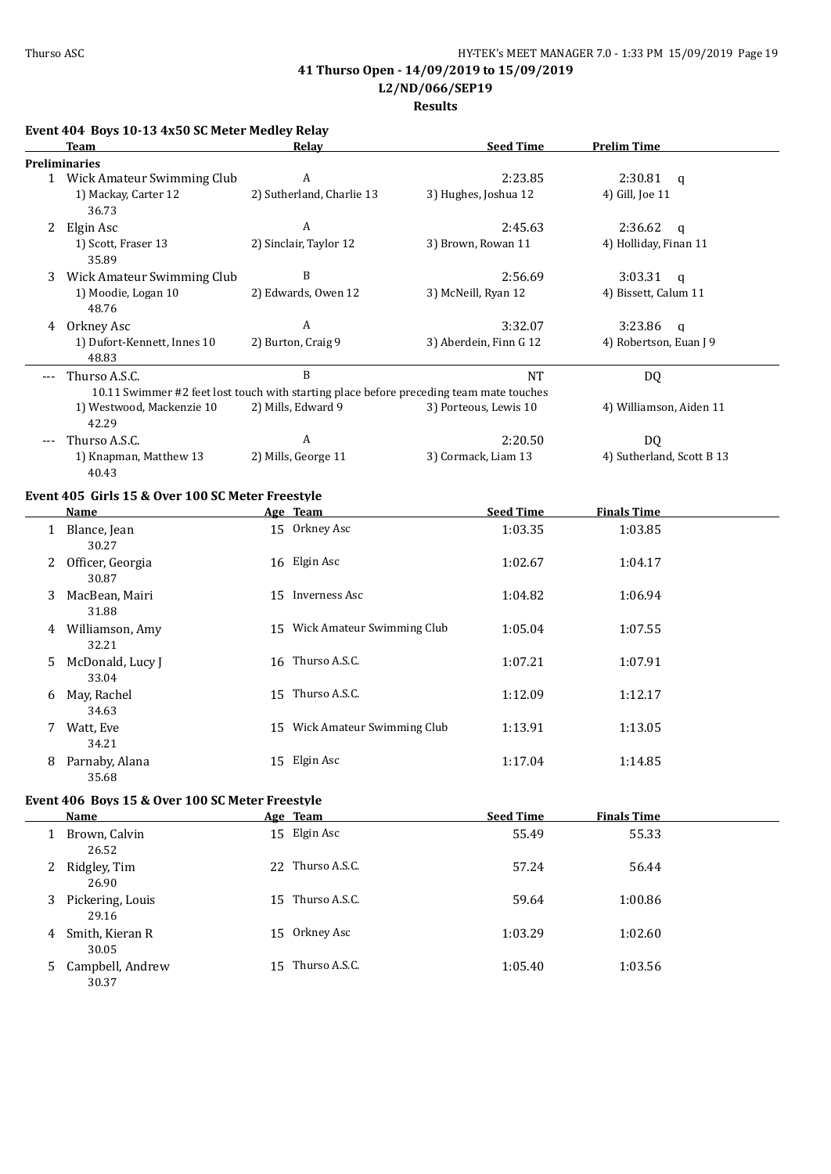# **L2/ND/066/SEP19**

## **Results**

|       | Event 404 Boys 10-13 4x50 SC Meter Medley Relay                                         |                               |                        |                           |
|-------|-----------------------------------------------------------------------------------------|-------------------------------|------------------------|---------------------------|
|       | Team                                                                                    | Relav                         | <b>Seed Time</b>       | <b>Prelim Time</b>        |
|       | <b>Preliminaries</b>                                                                    |                               |                        |                           |
|       | 1 Wick Amateur Swimming Club                                                            | A                             | 2:23.85                | 2:30.81<br>$\mathbf{q}$   |
|       | 1) Mackay, Carter 12<br>36.73                                                           | 2) Sutherland, Charlie 13     | 3) Hughes, Joshua 12   | 4) Gill, Joe 11           |
| 2     | Elgin Asc                                                                               | A                             | 2:45.63                | 2:36.62<br>$\mathbf{q}$   |
|       | 1) Scott, Fraser 13<br>35.89                                                            | 2) Sinclair, Taylor 12        | 3) Brown, Rowan 11     | 4) Holliday, Finan 11     |
| 3     | Wick Amateur Swimming Club                                                              | B                             | 2:56.69                | 3:03.31<br>$\mathbf{q}$   |
|       | 1) Moodie, Logan 10<br>48.76                                                            | 2) Edwards, Owen 12           | 3) McNeill, Ryan 12    | 4) Bissett, Calum 11      |
|       | 4 Orkney Asc                                                                            | A                             | 3:32.07                | 3:23.86<br>$\mathbf q$    |
|       | 1) Dufort-Kennett, Innes 10<br>48.83                                                    | 2) Burton, Craig 9            | 3) Aberdein, Finn G 12 | 4) Robertson, Euan J 9    |
| $---$ | Thurso A.S.C.                                                                           | B                             | <b>NT</b>              | <b>DQ</b>                 |
|       | 10.11 Swimmer #2 feet lost touch with starting place before preceding team mate touches |                               |                        |                           |
|       | 1) Westwood, Mackenzie 10<br>42.29                                                      | 2) Mills, Edward 9            | 3) Porteous, Lewis 10  | 4) Williamson, Aiden 11   |
|       | Thurso A.S.C.                                                                           | A                             | 2:20.50                | DQ                        |
|       | 1) Knapman, Matthew 13<br>40.43                                                         | 2) Mills, George 11           | 3) Cormack, Liam 13    | 4) Sutherland, Scott B 13 |
|       | Event 405 Girls 15 & Over 100 SC Meter Freestyle                                        |                               |                        |                           |
|       | <b>Name</b>                                                                             | Age Team                      | <b>Seed Time</b>       | <b>Finals Time</b>        |
|       | 1 Blance, Jean<br>30.27                                                                 | 15 Orkney Asc                 | 1:03.35                | 1:03.85                   |
| 2.    | Officer, Georgia<br>30.87                                                               | 16 Elgin Asc                  | 1:02.67                | 1:04.17                   |
| 3     | MacBean, Mairi<br>31.88                                                                 | 15 Inverness Asc              | 1:04.82                | 1:06.94                   |
| 4     | Williamson, Amy<br>32.21                                                                | 15 Wick Amateur Swimming Club | 1:05.04                | 1:07.55                   |
| 5.    | McDonald, Lucy J<br>33.04                                                               | 16 Thurso A.S.C.              | 1:07.21                | 1:07.91                   |
| 6     | May, Rachel<br>34.63                                                                    | 15 Thurso A.S.C.              | 1:12.09                | 1:12.17                   |
| 7     | Watt, Eve<br>34.21                                                                      | 15 Wick Amateur Swimming Club | 1:13.91                | 1:13.05                   |
| 8     | Parnaby, Alana<br>35.68                                                                 | 15 Elgin Asc                  | 1:17.04                | 1:14.85                   |
|       | Event 406 Boys 15 & Over 100 SC Meter Freestyle                                         |                               |                        |                           |
|       | <b>Name</b>                                                                             | Age Team                      | <b>Seed Time</b>       | <b>Finals Time</b>        |
|       | 1 Brown, Calvin<br>26.52                                                                | 15 Elgin Asc                  | 55.49                  | 55.33                     |
| 2     | Ridgley, Tim<br>26.90                                                                   | 22 Thurso A.S.C.              | 57.24                  | 56.44                     |

3 Pickering, Louis 15 Thurso A.S.C. 59.64 1:00.86 29.16 4 Smith, Kieran R 15 Orkney Asc 1:03.29 1:02.60 30.05 5 Campbell, Andrew 15 Thurso A.S.C. 1:05.40 1:05.56 30.37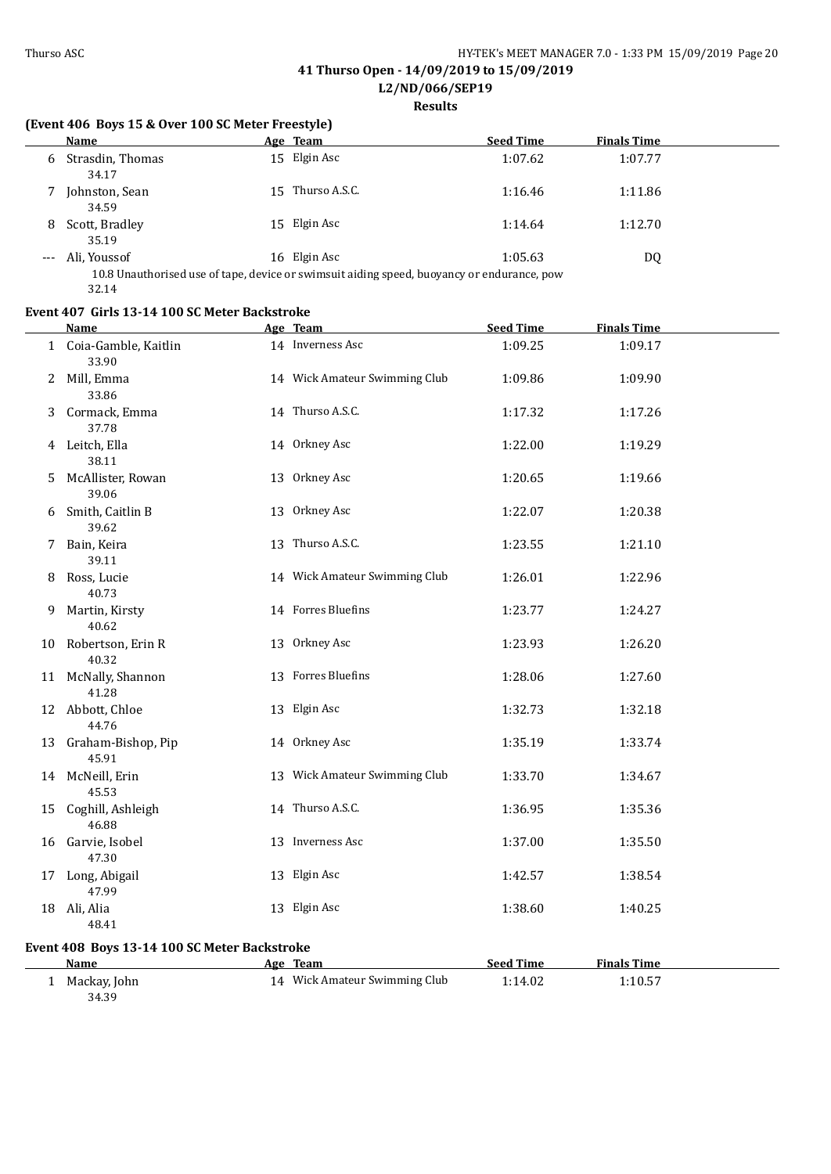**L2/ND/066/SEP19**

## **Results**

## **(Event 406 Boys 15 & Over 100 SC Meter Freestyle)**

|   | Name                        |     | Age Team                                                                                                   | <b>Seed Time</b> | <b>Finals Time</b> |
|---|-----------------------------|-----|------------------------------------------------------------------------------------------------------------|------------------|--------------------|
|   | 6 Strasdin, Thomas<br>34.17 |     | 15 Elgin Asc                                                                                               | 1:07.62          | 1:07.77            |
|   | Johnston, Sean<br>34.59     | 15. | Thurso A.S.C.                                                                                              | 1:16.46          | 1:11.86            |
| 8 | Scott, Bradley<br>35.19     |     | 15 Elgin Asc                                                                                               | 1:14.64          | 1:12.70            |
|   | Ali, Youssof                |     | 16 Elgin Asc<br>10.8 Unauthorised use of tape, device or swimsuit aiding speed, buoyancy or endurance, now | 1:05.63          | DQ                 |

tape, device or swimsuit aiding speed, buoyancy or endurance, p $\,$ 32.14

## **Event 407 Girls 13-14 100 SC Meter Backstroke**

|    | Name                                         | Age Team                      | <b>Seed Time</b> | <b>Finals Time</b> |  |
|----|----------------------------------------------|-------------------------------|------------------|--------------------|--|
|    | 1 Coia-Gamble, Kaitlin<br>33.90              | 14 Inverness Asc              | 1:09.25          | 1:09.17            |  |
|    | 2 Mill, Emma<br>33.86                        | 14 Wick Amateur Swimming Club | 1:09.86          | 1:09.90            |  |
|    | 3 Cormack, Emma<br>37.78                     | 14 Thurso A.S.C.              | 1:17.32          | 1:17.26            |  |
|    | 4 Leitch, Ella<br>38.11                      | 14 Orkney Asc                 | 1:22.00          | 1:19.29            |  |
| 5. | McAllister, Rowan<br>39.06                   | 13 Orkney Asc                 | 1:20.65          | 1:19.66            |  |
|    | 6 Smith, Caitlin B<br>39.62                  | 13 Orkney Asc                 | 1:22.07          | 1:20.38            |  |
|    | 7 Bain, Keira<br>39.11                       | 13 Thurso A.S.C.              | 1:23.55          | 1:21.10            |  |
|    | 8 Ross, Lucie<br>40.73                       | 14 Wick Amateur Swimming Club | 1:26.01          | 1:22.96            |  |
| 9. | Martin, Kirsty<br>40.62                      | 14 Forres Bluefins            | 1:23.77          | 1:24.27            |  |
|    | 10 Robertson, Erin R<br>40.32                | 13 Orkney Asc                 | 1:23.93          | 1:26.20            |  |
|    | 11 McNally, Shannon<br>41.28                 | 13 Forres Bluefins            | 1:28.06          | 1:27.60            |  |
|    | 12 Abbott, Chloe<br>44.76                    | 13 Elgin Asc                  | 1:32.73          | 1:32.18            |  |
|    | 13 Graham-Bishop, Pip<br>45.91               | 14 Orkney Asc                 | 1:35.19          | 1:33.74            |  |
|    | 14 McNeill, Erin<br>45.53                    | 13 Wick Amateur Swimming Club | 1:33.70          | 1:34.67            |  |
|    | 15 Coghill, Ashleigh<br>46.88                | 14 Thurso A.S.C.              | 1:36.95          | 1:35.36            |  |
|    | 16 Garvie, Isobel<br>47.30                   | 13 Inverness Asc              | 1:37.00          | 1:35.50            |  |
|    | 17 Long, Abigail<br>47.99                    | 13 Elgin Asc                  | 1:42.57          | 1:38.54            |  |
|    | 18 Ali, Alia<br>48.41                        | 13 Elgin Asc                  | 1:38.60          | 1:40.25            |  |
|    | Event 408 Boys 13-14 100 SC Meter Backstroke |                               |                  |                    |  |
|    | <b>Name</b>                                  | Age Team                      | <b>Seed Time</b> | <b>Finals Time</b> |  |
|    | 1 Mackay, John                               | 14 Wick Amateur Swimming Club | 1:14.02          | 1:10.57            |  |
|    | 34.39                                        |                               |                  |                    |  |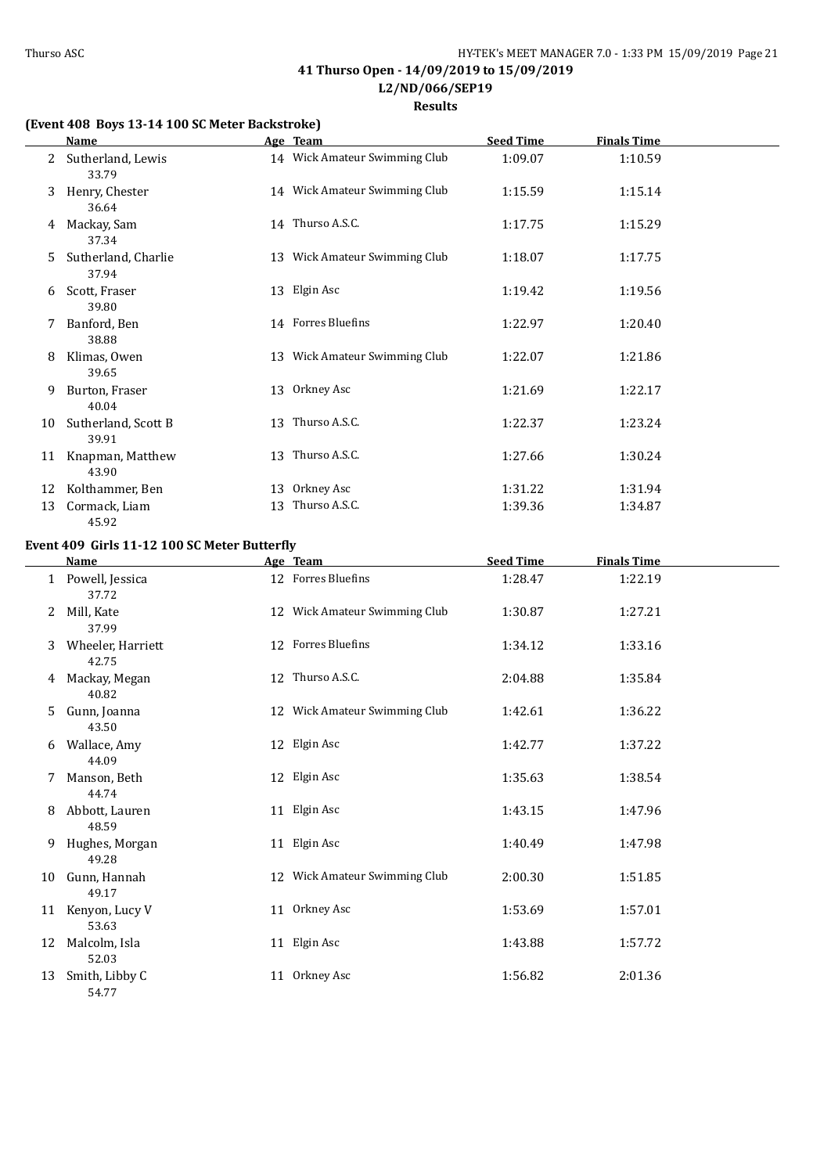**Results**

### **(Event 408 Boys 13-14 100 SC Meter Backstroke)**

|    | Name                         |    | Age Team                      | <b>Seed Time</b> | <b>Finals Time</b> |  |
|----|------------------------------|----|-------------------------------|------------------|--------------------|--|
|    | Sutherland, Lewis<br>33.79   |    | 14 Wick Amateur Swimming Club | 1:09.07          | 1:10.59            |  |
| 3  | Henry, Chester<br>36.64      |    | 14 Wick Amateur Swimming Club | 1:15.59          | 1:15.14            |  |
| 4  | Mackay, Sam<br>37.34         |    | 14 Thurso A.S.C.              | 1:17.75          | 1:15.29            |  |
| 5  | Sutherland, Charlie<br>37.94 |    | 13 Wick Amateur Swimming Club | 1:18.07          | 1:17.75            |  |
| 6  | Scott, Fraser<br>39.80       |    | 13 Elgin Asc                  | 1:19.42          | 1:19.56            |  |
| 7  | Banford, Ben<br>38.88        |    | 14 Forres Bluefins            | 1:22.97          | 1:20.40            |  |
| 8  | Klimas, Owen<br>39.65        |    | 13 Wick Amateur Swimming Club | 1:22.07          | 1:21.86            |  |
| 9  | Burton, Fraser<br>40.04      |    | 13 Orkney Asc                 | 1:21.69          | 1:22.17            |  |
| 10 | Sutherland, Scott B<br>39.91 |    | 13 Thurso A.S.C.              | 1:22.37          | 1:23.24            |  |
| 11 | Knapman, Matthew<br>43.90    |    | 13 Thurso A.S.C.              | 1:27.66          | 1:30.24            |  |
| 12 | Kolthammer, Ben              |    | 13 Orkney Asc                 | 1:31.22          | 1:31.94            |  |
| 13 | Cormack, Liam<br>45.92       | 13 | Thurso A.S.C.                 | 1:39.36          | 1:34.87            |  |

## **Event 409 Girls 11-12 100 SC Meter Butterfly**

|    | Name                       | Age Team                      | <b>Seed Time</b> | <b>Finals Time</b> |  |
|----|----------------------------|-------------------------------|------------------|--------------------|--|
|    | 1 Powell, Jessica<br>37.72 | 12 Forres Bluefins            | 1:28.47          | 1:22.19            |  |
| 2  | Mill, Kate<br>37.99        | 12 Wick Amateur Swimming Club | 1:30.87          | 1:27.21            |  |
| 3  | Wheeler, Harriett<br>42.75 | 12 Forres Bluefins            | 1:34.12          | 1:33.16            |  |
| 4  | Mackay, Megan<br>40.82     | 12 Thurso A.S.C.              | 2:04.88          | 1:35.84            |  |
| 5  | Gunn, Joanna<br>43.50      | 12 Wick Amateur Swimming Club | 1:42.61          | 1:36.22            |  |
| 6  | Wallace, Amy<br>44.09      | 12 Elgin Asc                  | 1:42.77          | 1:37.22            |  |
| 7  | Manson, Beth<br>44.74      | 12 Elgin Asc                  | 1:35.63          | 1:38.54            |  |
| 8  | Abbott, Lauren<br>48.59    | 11 Elgin Asc                  | 1:43.15          | 1:47.96            |  |
| 9  | Hughes, Morgan<br>49.28    | 11 Elgin Asc                  | 1:40.49          | 1:47.98            |  |
| 10 | Gunn, Hannah<br>49.17      | 12 Wick Amateur Swimming Club | 2:00.30          | 1:51.85            |  |
|    | 11 Kenyon, Lucy V<br>53.63 | 11 Orkney Asc                 | 1:53.69          | 1:57.01            |  |
| 12 | Malcolm, Isla<br>52.03     | 11 Elgin Asc                  | 1:43.88          | 1:57.72            |  |
| 13 | Smith, Libby C<br>54.77    | 11 Orkney Asc                 | 1:56.82          | 2:01.36            |  |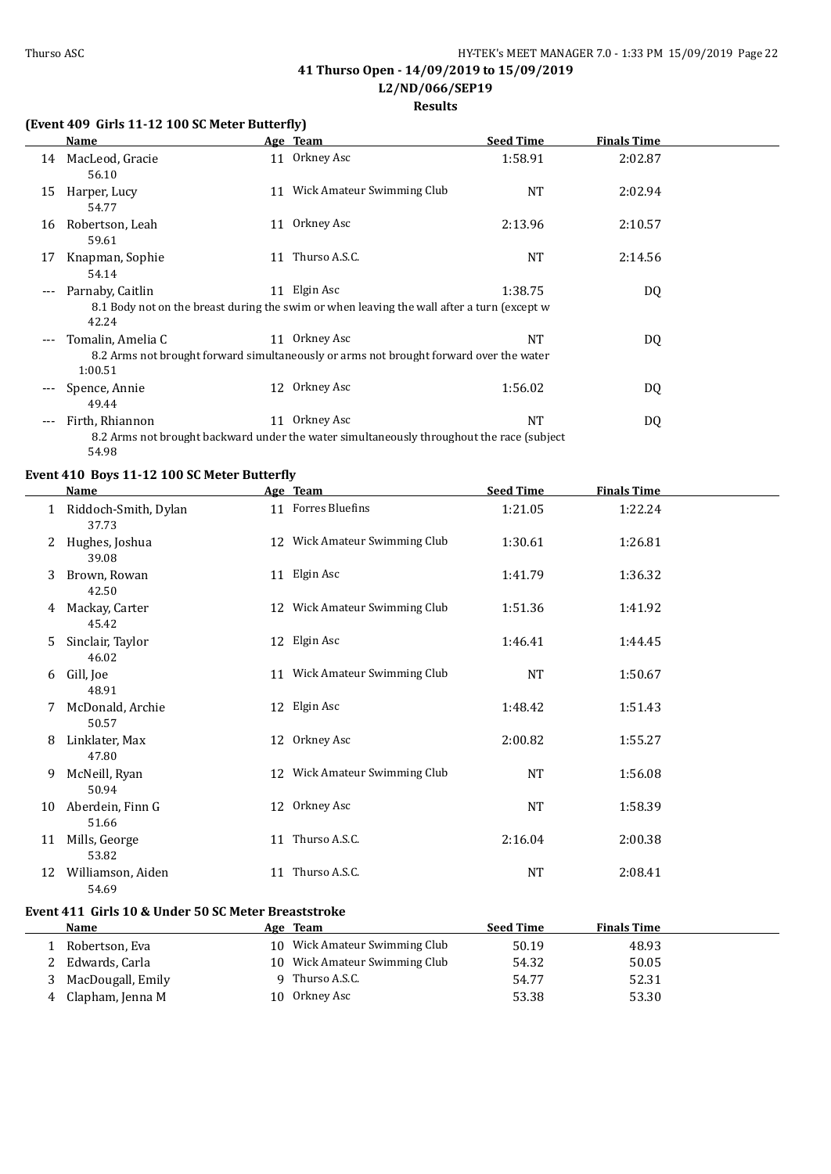## **Results**

## **(Event 409 Girls 11-12 100 SC Meter Butterfly)**

|       | <b>Name</b>                  |    | Age Team                                                                                                   | <b>Seed Time</b> | <b>Finals Time</b> |  |
|-------|------------------------------|----|------------------------------------------------------------------------------------------------------------|------------------|--------------------|--|
| 14    | MacLeod, Gracie<br>56.10     |    | 11 Orkney Asc                                                                                              | 1:58.91          | 2:02.87            |  |
| 15    | Harper, Lucy<br>54.77        |    | 11 Wick Amateur Swimming Club                                                                              | <b>NT</b>        | 2:02.94            |  |
| 16    | Robertson, Leah<br>59.61     | 11 | Orkney Asc                                                                                                 | 2:13.96          | 2:10.57            |  |
| 17    | Knapman, Sophie<br>54.14     | 11 | Thurso A.S.C.                                                                                              | <b>NT</b>        | 2:14.56            |  |
| ---   | Parnaby, Caitlin<br>42.24    |    | 11 Elgin Asc<br>8.1 Body not on the breast during the swim or when leaving the wall after a turn (except w | 1:38.75          | DQ                 |  |
| ---   | Tomalin, Amelia C<br>1:00.51 |    | 11 Orkney Asc<br>8.2 Arms not brought forward simultaneously or arms not brought forward over the water    | NT               | DQ                 |  |
| ---   | Spence, Annie<br>49.44       |    | 12 Orkney Asc                                                                                              | 1:56.02          | DQ                 |  |
| $---$ | Firth, Rhiannon<br>54.98     | 11 | Orkney Asc<br>8.2 Arms not brought backward under the water simultaneously throughout the race (subject)   | <b>NT</b>        | DQ                 |  |

## **Event 410 Boys 11-12 100 SC Meter Butterfly**

|    | Name                          | Age Team                      | <b>Seed Time</b> | <b>Finals Time</b> |  |
|----|-------------------------------|-------------------------------|------------------|--------------------|--|
|    | Riddoch-Smith, Dylan<br>37.73 | 11 Forres Bluefins            | 1:21.05          | 1:22.24            |  |
| 2  | Hughes, Joshua<br>39.08       | 12 Wick Amateur Swimming Club | 1:30.61          | 1:26.81            |  |
| 3  | Brown, Rowan<br>42.50         | 11 Elgin Asc                  | 1:41.79          | 1:36.32            |  |
| 4  | Mackay, Carter<br>45.42       | 12 Wick Amateur Swimming Club | 1:51.36          | 1:41.92            |  |
| 5  | Sinclair, Taylor<br>46.02     | 12 Elgin Asc                  | 1:46.41          | 1:44.45            |  |
| 6  | Gill, Joe<br>48.91            | 11 Wick Amateur Swimming Club | NT               | 1:50.67            |  |
| 7  | McDonald, Archie<br>50.57     | 12 Elgin Asc                  | 1:48.42          | 1:51.43            |  |
| 8  | Linklater, Max<br>47.80       | 12 Orkney Asc                 | 2:00.82          | 1:55.27            |  |
| 9  | McNeill, Ryan<br>50.94        | 12 Wick Amateur Swimming Club | NT               | 1:56.08            |  |
| 10 | Aberdein, Finn G<br>51.66     | 12 Orkney Asc                 | NT               | 1:58.39            |  |
| 11 | Mills, George<br>53.82        | 11 Thurso A.S.C.              | 2:16.04          | 2:00.38            |  |
| 12 | Williamson, Aiden<br>54.69    | 11 Thurso A.S.C.              | NT               | 2:08.41            |  |

## **Event 411 Girls 10 & Under 50 SC Meter Breaststroke**

|   | <b>Name</b>       | Age | Team                          | Seed Time | <b>Finals Time</b> |
|---|-------------------|-----|-------------------------------|-----------|--------------------|
|   | Robertson, Eva    |     | 10 Wick Amateur Swimming Club | 50.19     | 48.93              |
|   | Edwards, Carla    |     | 10 Wick Amateur Swimming Club | 54.32     | 50.05              |
|   | MacDougall, Emily |     | 9 Thurso A.S.C.               | 54.77     | 52.31              |
| 4 | Clapham, Jenna M  | 10  | Orkney Asc                    | 53.38     | 53.30              |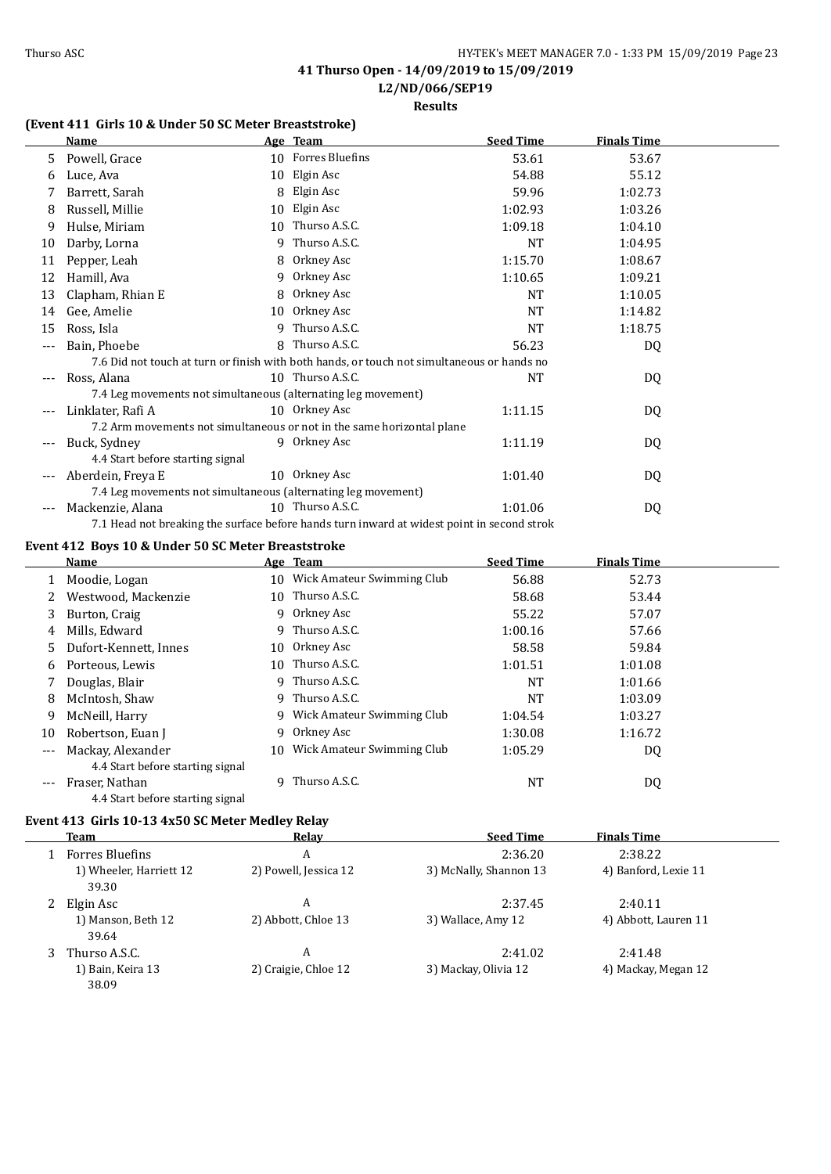**L2/ND/066/SEP19**

**Results**

## **(Event 411 Girls 10 & Under 50 SC Meter Breaststroke)**

|     | <b>Name</b>                      |    | Age Team                                                               | <b>Seed Time</b>                                                                           | <b>Finals Time</b> |  |
|-----|----------------------------------|----|------------------------------------------------------------------------|--------------------------------------------------------------------------------------------|--------------------|--|
| 5.  | Powell, Grace                    |    | 10 Forres Bluefins                                                     | 53.61                                                                                      | 53.67              |  |
| 6   | Luce, Ava                        | 10 | Elgin Asc                                                              | 54.88                                                                                      | 55.12              |  |
|     | Barrett, Sarah                   | 8  | Elgin Asc                                                              | 59.96                                                                                      | 1:02.73            |  |
| 8   | Russell, Millie                  | 10 | Elgin Asc                                                              | 1:02.93                                                                                    | 1:03.26            |  |
| 9   | Hulse, Miriam                    | 10 | Thurso A.S.C.                                                          | 1:09.18                                                                                    | 1:04.10            |  |
| 10  | Darby, Lorna                     | q  | Thurso A.S.C.                                                          | NT                                                                                         | 1:04.95            |  |
| 11  | Pepper, Leah                     | 8. | Orkney Asc                                                             | 1:15.70                                                                                    | 1:08.67            |  |
| 12  | Hamill, Ava                      | 9  | Orkney Asc                                                             | 1:10.65                                                                                    | 1:09.21            |  |
| 13  | Clapham, Rhian E                 | 8  | Orkney Asc                                                             | NT                                                                                         | 1:10.05            |  |
| 14  | Gee, Amelie                      | 10 | Orkney Asc                                                             | <b>NT</b>                                                                                  | 1:14.82            |  |
| 15  | Ross, Isla                       | q  | Thurso A.S.C.                                                          | <b>NT</b>                                                                                  | 1:18.75            |  |
| --- | Bain, Phoebe                     | 8. | Thurso A.S.C.                                                          | 56.23                                                                                      | DQ                 |  |
|     |                                  |    |                                                                        | 7.6 Did not touch at turn or finish with both hands, or touch not simultaneous or hands no |                    |  |
|     | Ross, Alana                      |    | 10 Thurso A.S.C.                                                       | NT                                                                                         | DQ                 |  |
|     |                                  |    | 7.4 Leg movements not simultaneous (alternating leg movement)          |                                                                                            |                    |  |
| --- | Linklater, Rafi A                |    | 10 Orkney Asc                                                          | 1:11.15                                                                                    | DQ                 |  |
|     |                                  |    | 7.2 Arm movements not simultaneous or not in the same horizontal plane |                                                                                            |                    |  |
|     | Buck, Sydney                     |    | 9 Orkney Asc                                                           | 1:11.19                                                                                    | DQ                 |  |
|     | 4.4 Start before starting signal |    |                                                                        |                                                                                            |                    |  |
| --- | Aberdein, Freya E                |    | 10 Orkney Asc                                                          | 1:01.40                                                                                    | DQ                 |  |
|     |                                  |    | 7.4 Leg movements not simultaneous (alternating leg movement)          |                                                                                            |                    |  |
|     | Mackenzie, Alana                 |    | 10 Thurso A.S.C.                                                       | 1:01.06                                                                                    | DQ                 |  |
|     |                                  |    |                                                                        | 7.1 Head not breaking the surface before hands turn inward at widest point in second strok |                    |  |

#### **Event 412 Boys 10 & Under 50 SC Meter Breaststroke**

|         | Name                             |     | Age Team                     | <b>Seed Time</b> | <b>Finals Time</b> |  |
|---------|----------------------------------|-----|------------------------------|------------------|--------------------|--|
|         | Moodie, Logan                    | 10  | Wick Amateur Swimming Club   | 56.88            | 52.73              |  |
|         | Westwood, Mackenzie              | 10  | Thurso A.S.C.                | 58.68            | 53.44              |  |
| 3       | Burton, Craig                    |     | 9 Orkney Asc                 | 55.22            | 57.07              |  |
| 4       | Mills, Edward                    | 9   | Thurso A.S.C.                | 1:00.16          | 57.66              |  |
| 5.      | Dufort-Kennett, Innes            | 10  | Orkney Asc                   | 58.58            | 59.84              |  |
| 6       | Porteous, Lewis                  | 10  | Thurso A.S.C.                | 1:01.51          | 1:01.08            |  |
|         | Douglas, Blair                   |     | 9 Thurso A.S.C.              | NT               | 1:01.66            |  |
| 8       | McIntosh, Shaw                   | 9   | Thurso A.S.C.                | NT               | 1:03.09            |  |
| 9       | McNeill, Harry                   |     | 9 Wick Amateur Swimming Club | 1:04.54          | 1:03.27            |  |
| 10      | Robertson, Euan J                | 9   | Orkney Asc                   | 1:30.08          | 1:16.72            |  |
| $---$   | Mackay, Alexander                | 10. | Wick Amateur Swimming Club   | 1:05.29          | DQ                 |  |
|         | 4.4 Start before starting signal |     |                              |                  |                    |  |
| $- - -$ | Fraser, Nathan                   | q   | Thurso A.S.C.                | <b>NT</b>        | DQ                 |  |
|         | 4.4 Start before starting signal |     |                              |                  |                    |  |

#### **Event 413 Girls 10-13 4x50 SC Meter Medley Relay**

|   | <b>Team</b>                      | Relay                 | <b>Seed Time</b>       | <b>Finals Time</b>   |  |
|---|----------------------------------|-----------------------|------------------------|----------------------|--|
|   | <b>Forres Bluefins</b>           | A                     | 2:36.20                | 2:38.22              |  |
|   | 1) Wheeler, Harriett 12<br>39.30 | 2) Powell, Jessica 12 | 3) McNally, Shannon 13 | 4) Banford, Lexie 11 |  |
| 2 | Elgin Asc                        | A                     | 2:37.45                | 2:40.11              |  |
|   | 1) Manson, Beth 12<br>39.64      | 2) Abbott, Chloe 13   | 3) Wallace, Amy 12     | 4) Abbott, Lauren 11 |  |
|   | Thurso A.S.C.                    | A                     | 2:41.02                | 2:41.48              |  |
|   | 1) Bain, Keira 13<br>38.09       | 2) Craigie, Chloe 12  | 3) Mackay, Olivia 12   | 4) Mackay, Megan 12  |  |